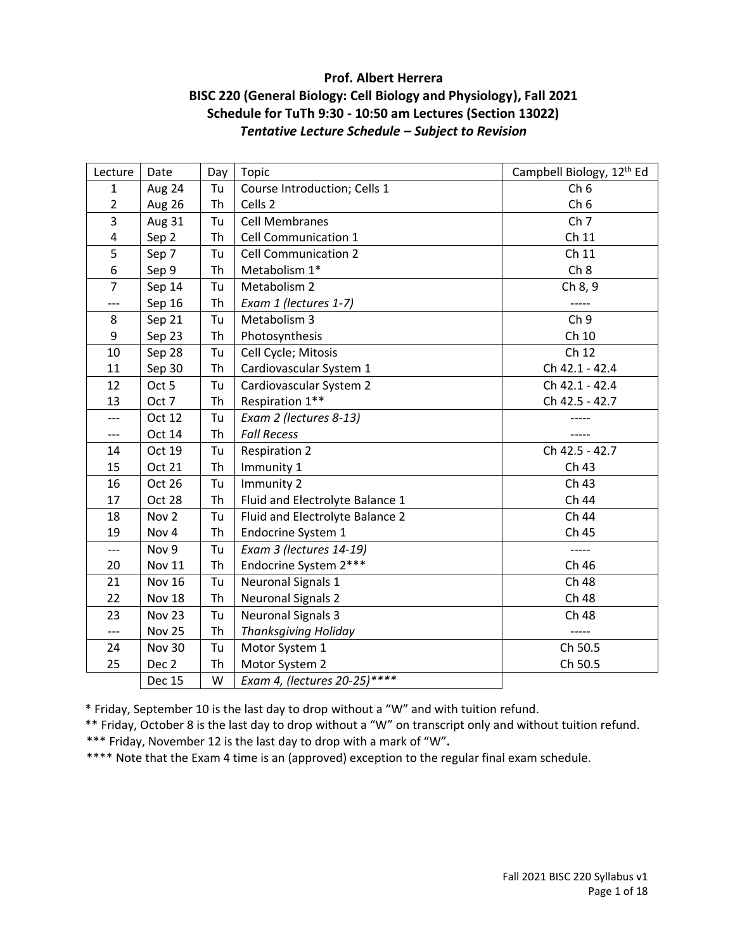# **Prof. Albert Herrera BISC 220 (General Biology: Cell Biology and Physiology), Fall 2021 Schedule for TuTh 9:30 - 10:50 am Lectures (Section 13022)** *Tentative Lecture Schedule – Subject to Revision*

| Lecture                 | Date             | Day | <b>Topic</b>                    | Campbell Biology, 12th Ed |
|-------------------------|------------------|-----|---------------------------------|---------------------------|
| $\mathbf{1}$            | Aug 24           | Tu  | Course Introduction; Cells 1    | Ch <sub>6</sub>           |
| $\overline{2}$          | Aug 26           | Th  | Cells 2                         | Ch <sub>6</sub>           |
| 3                       | Aug 31           | Tu  | <b>Cell Membranes</b>           | Ch <sub>7</sub>           |
| $\overline{\mathbf{4}}$ | Sep 2            | Th  | Cell Communication 1            | Ch 11                     |
| 5                       | Sep 7            | Tu  | <b>Cell Communication 2</b>     | Ch 11                     |
| 6                       | Sep 9            | Th  | Metabolism 1*                   | Ch 8                      |
| $\overline{7}$          | Sep 14           | Tu  | Metabolism 2                    | Ch 8, 9                   |
| ---                     | Sep 16           | Th  | Exam 1 (lectures 1-7)           |                           |
| 8                       | Sep 21           | Tu  | Metabolism 3                    | Ch <sub>9</sub>           |
| 9                       | Sep 23           | Th  | Photosynthesis                  | Ch 10                     |
| 10                      | Sep 28           | Tu  | Cell Cycle; Mitosis             | Ch 12                     |
| 11                      | Sep 30           | Th  | Cardiovascular System 1         | Ch 42.1 - 42.4            |
| 12                      | Oct 5            | Tu  | Cardiovascular System 2         | Ch 42.1 - 42.4            |
| 13                      | Oct 7            | Th  | Respiration 1**                 | Ch 42.5 - 42.7            |
| ---                     | Oct 12           | Tu  | Exam 2 (lectures 8-13)          |                           |
| ---                     | Oct 14           | Th  | <b>Fall Recess</b>              |                           |
| 14                      | Oct 19           | Tu  | <b>Respiration 2</b>            | Ch 42.5 - 42.7            |
| 15                      | <b>Oct 21</b>    | Th  | Immunity 1                      | Ch 43                     |
| 16                      | Oct 26           | Tu  | Immunity 2                      | Ch 43                     |
| 17                      | Oct 28           | Th  | Fluid and Electrolyte Balance 1 | Ch 44                     |
| 18                      | Nov <sub>2</sub> | Tu  | Fluid and Electrolyte Balance 2 | Ch 44                     |
| 19                      | Nov 4            | Th  | Endocrine System 1              | Ch 45                     |
| $---$                   | Nov 9            | Tu  | Exam 3 (lectures 14-19)         | -----                     |
| 20                      | Nov 11           | Th  | Endocrine System 2***           | Ch 46                     |
| 21                      | Nov 16           | Tu  | <b>Neuronal Signals 1</b>       | Ch 48                     |
| 22                      | Nov 18           | Th  | <b>Neuronal Signals 2</b>       | Ch 48                     |
| 23                      | Nov 23           | Tu  | <b>Neuronal Signals 3</b>       | Ch 48                     |
| ---                     | Nov 25           | Th  | <b>Thanksgiving Holiday</b>     | -----                     |
| 24                      | <b>Nov 30</b>    | Tu  | Motor System 1                  | Ch 50.5                   |
| 25                      | Dec 2            | Th  | Motor System 2                  | Ch 50.5                   |
|                         | <b>Dec 15</b>    | W   | Exam 4, (lectures 20-25)****    |                           |

\* Friday, September 10 is the last day to drop without a "W" and with tuition refund.

\*\* Friday, October 8 is the last day to drop without a "W" on transcript only and without tuition refund.

\*\*\* Friday, November 12 is the last day to drop with a mark of "W"**.**

\*\*\*\* Note that the Exam 4 time is an (approved) exception to the regular final exam schedule.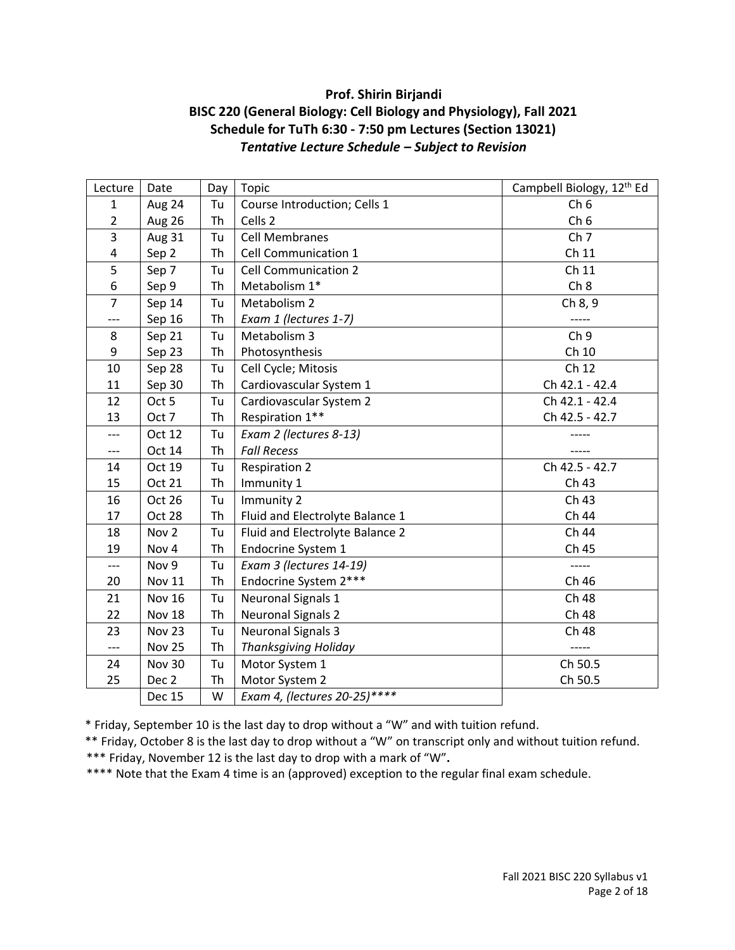# **Prof. Shirin Birjandi BISC 220 (General Biology: Cell Biology and Physiology), Fall 2021 Schedule for TuTh 6:30 - 7:50 pm Lectures (Section 13021)** *Tentative Lecture Schedule – Subject to Revision*

| Lecture                 | Date             | Day       | Topic                           | Campbell Biology, 12th Ed |
|-------------------------|------------------|-----------|---------------------------------|---------------------------|
| $\mathbf{1}$            | Aug 24           | Tu        | Course Introduction; Cells 1    | Ch <sub>6</sub>           |
| $\overline{2}$          | Aug 26           | Th        | Cells 2                         | Ch <sub>6</sub>           |
| 3                       | <b>Aug 31</b>    | Tu        | <b>Cell Membranes</b>           | Ch <sub>7</sub>           |
| $\overline{\mathbf{4}}$ | Sep 2            | <b>Th</b> | Cell Communication 1            | Ch 11                     |
| 5                       | Sep 7            | Tu        | <b>Cell Communication 2</b>     | Ch 11                     |
| 6                       | Sep 9            | Th        | Metabolism 1*                   | Ch 8                      |
| $\overline{7}$          | Sep 14           | Tu        | Metabolism 2                    | Ch 8, 9                   |
| ---                     | Sep 16           | Th        | Exam 1 (lectures 1-7)           |                           |
| 8                       | Sep 21           | Tu        | Metabolism 3                    | Ch <sub>9</sub>           |
| 9                       | Sep 23           | <b>Th</b> | Photosynthesis                  | Ch 10                     |
| 10                      | Sep 28           | Tu        | Cell Cycle; Mitosis             | Ch 12                     |
| 11                      | Sep 30           | Th        | Cardiovascular System 1         | Ch 42.1 - 42.4            |
| 12                      | Oct 5            | Tu        | Cardiovascular System 2         | Ch 42.1 - 42.4            |
| 13                      | Oct 7            | Th        | Respiration 1**                 | Ch 42.5 - 42.7            |
| $---$                   | Oct 12           | Tu        | Exam 2 (lectures 8-13)          |                           |
| $---$                   | Oct 14           | <b>Th</b> | <b>Fall Recess</b>              |                           |
| 14                      | Oct 19           | Tu        | <b>Respiration 2</b>            | Ch 42.5 - 42.7            |
| 15                      | Oct 21           | Th        | Immunity 1                      | Ch 43                     |
| 16                      | Oct 26           | Tu        | Immunity 2                      | Ch 43                     |
| 17                      | Oct 28           | Th        | Fluid and Electrolyte Balance 1 | Ch 44                     |
| 18                      | Nov <sub>2</sub> | Tu        | Fluid and Electrolyte Balance 2 | Ch 44                     |
| 19                      | Nov 4            | <b>Th</b> | Endocrine System 1              | Ch 45                     |
| ---                     | Nov 9            | Tu        | Exam 3 (lectures 14-19)         |                           |
| 20                      | <b>Nov 11</b>    | Th        | Endocrine System 2***           | Ch 46                     |
| 21                      | <b>Nov 16</b>    | Tu        | <b>Neuronal Signals 1</b>       | Ch 48                     |
| 22                      | Nov 18           | Th        | <b>Neuronal Signals 2</b>       | Ch 48                     |
| 23                      | <b>Nov 23</b>    | Tu        | <b>Neuronal Signals 3</b>       | Ch 48                     |
| $---$                   | <b>Nov 25</b>    | <b>Th</b> | <b>Thanksgiving Holiday</b>     | -----                     |
| 24                      | <b>Nov 30</b>    | Tu        | Motor System 1                  | Ch 50.5                   |
| 25                      | Dec 2            | Th        | Motor System 2                  | Ch 50.5                   |
|                         | <b>Dec 15</b>    | W         | Exam 4, (lectures 20-25)****    |                           |

\* Friday, September 10 is the last day to drop without a "W" and with tuition refund.

\*\* Friday, October 8 is the last day to drop without a "W" on transcript only and without tuition refund.

\*\*\* Friday, November 12 is the last day to drop with a mark of "W"**.**

\*\*\*\* Note that the Exam 4 time is an (approved) exception to the regular final exam schedule.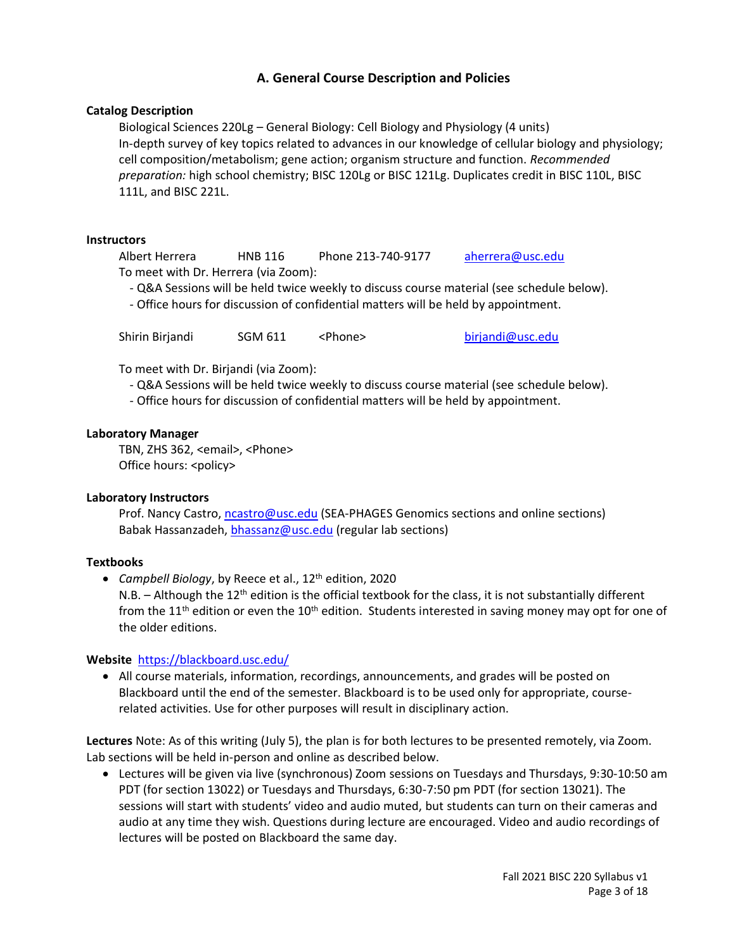# **A. General Course Description and Policies**

#### **Catalog Description**

Biological Sciences 220Lg – General Biology: Cell Biology and Physiology (4 units) In-depth survey of key topics related to advances in our knowledge of cellular biology and physiology; cell composition/metabolism; gene action; organism structure and function. *Recommended preparation:* high school chemistry; BISC 120Lg or BISC 121Lg. Duplicates credit in BISC 110L, BISC 111L, and BISC 221L.

#### **Instructors**

Albert Herrera HNB 116 Phone 213-740-9177 [aherrera@usc.edu](mailto:aherrera@usc.edu) To meet with Dr. Herrera (via Zoom):

- Q&A Sessions will be held twice weekly to discuss course material (see schedule below).

- Office hours for discussion of confidential matters will be held by appointment.

Shirin Birjandi SGM 611 <Phone> [birjandi@usc.edu](mailto:birjandi@usc.edu)

To meet with Dr. Birjandi (via Zoom):

- Q&A Sessions will be held twice weekly to discuss course material (see schedule below).
- Office hours for discussion of confidential matters will be held by appointment.

#### **Laboratory Manager**

TBN, ZHS 362, <email>, <Phone> Office hours: <policy>

#### **Laboratory Instructors**

Prof. Nancy Castro, [ncastro@usc.edu](mailto:ncastro@usc.edu) (SEA-PHAGES Genomics sections and online sections) Babak Hassanzadeh, [bhassanz@usc.edu](mailto:bhassanz@usc.edu) (regular lab sections)

#### **Textbooks**

• Campbell Biology, by Reece et al., 12<sup>th</sup> edition, 2020

N.B.  $-$  Although the 12<sup>th</sup> edition is the official textbook for the class, it is not substantially different from the 11<sup>th</sup> edition or even the 10<sup>th</sup> edition. Students interested in saving money may opt for one of the older editions.

#### **Website** <https://blackboard.usc.edu/>

• All course materials, information, recordings, announcements, and grades will be posted on Blackboard until the end of the semester. Blackboard is to be used only for appropriate, courserelated activities. Use for other purposes will result in disciplinary action.

**Lectures** Note: As of this writing (July 5), the plan is for both lectures to be presented remotely, via Zoom. Lab sections will be held in-person and online as described below.

• Lectures will be given via live (synchronous) Zoom sessions on Tuesdays and Thursdays, 9:30-10:50 am PDT (for section 13022) or Tuesdays and Thursdays, 6:30-7:50 pm PDT (for section 13021). The sessions will start with students' video and audio muted, but students can turn on their cameras and audio at any time they wish. Questions during lecture are encouraged. Video and audio recordings of lectures will be posted on Blackboard the same day.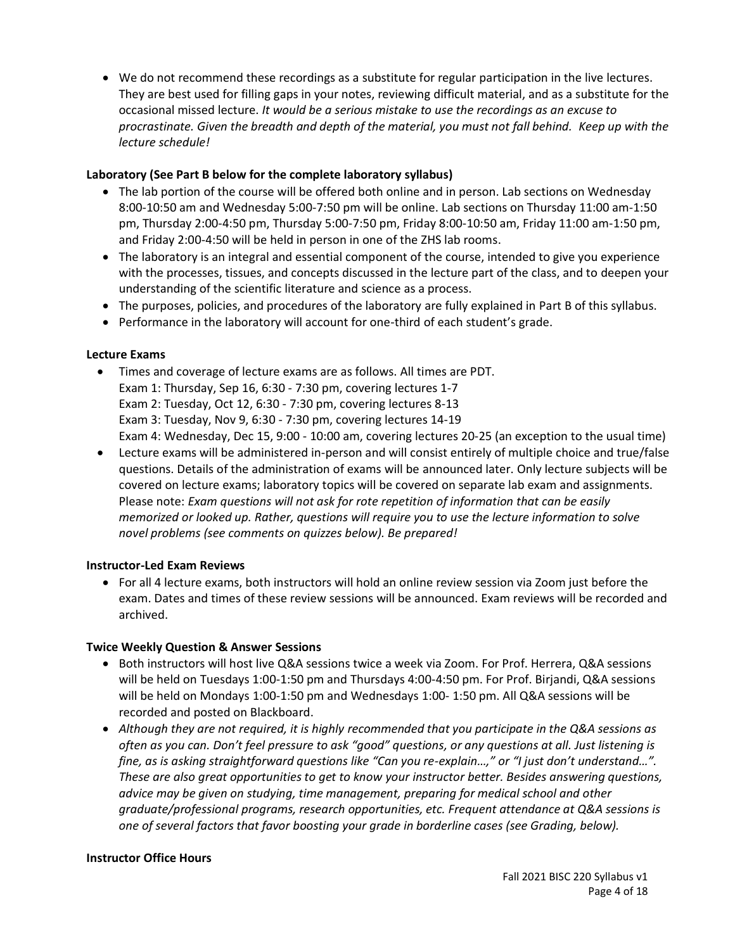• We do not recommend these recordings as a substitute for regular participation in the live lectures. They are best used for filling gaps in your notes, reviewing difficult material, and as a substitute for the occasional missed lecture. *It would be a serious mistake to use the recordings as an excuse to procrastinate. Given the breadth and depth of the material, you must not fall behind. Keep up with the lecture schedule!*

# **Laboratory (See Part B below for the complete laboratory syllabus)**

- The lab portion of the course will be offered both online and in person. Lab sections on Wednesday 8:00-10:50 am and Wednesday 5:00-7:50 pm will be online. Lab sections on Thursday 11:00 am-1:50 pm, Thursday 2:00-4:50 pm, Thursday 5:00-7:50 pm, Friday 8:00-10:50 am, Friday 11:00 am-1:50 pm, and Friday 2:00-4:50 will be held in person in one of the ZHS lab rooms.
- The laboratory is an integral and essential component of the course, intended to give you experience with the processes, tissues, and concepts discussed in the lecture part of the class, and to deepen your understanding of the scientific literature and science as a process.
- The purposes, policies, and procedures of the laboratory are fully explained in Part B of this syllabus.
- Performance in the laboratory will account for one-third of each student's grade.

#### **Lecture Exams**

- Times and coverage of lecture exams are as follows. All times are PDT. Exam 1: Thursday, Sep 16, 6:30 - 7:30 pm, covering lectures 1-7 Exam 2: Tuesday, Oct 12, 6:30 - 7:30 pm, covering lectures 8-13 Exam 3: Tuesday, Nov 9, 6:30 - 7:30 pm, covering lectures 14-19 Exam 4: Wednesday, Dec 15, 9:00 - 10:00 am, covering lectures 20-25 (an exception to the usual time)
- Lecture exams will be administered in-person and will consist entirely of multiple choice and true/false questions. Details of the administration of exams will be announced later. Only lecture subjects will be covered on lecture exams; laboratory topics will be covered on separate lab exam and assignments. Please note: *Exam questions will not ask for rote repetition of information that can be easily memorized or looked up. Rather, questions will require you to use the lecture information to solve novel problems (see comments on quizzes below). Be prepared!*

#### **Instructor-Led Exam Reviews**

• For all 4 lecture exams, both instructors will hold an online review session via Zoom just before the exam. Dates and times of these review sessions will be announced. Exam reviews will be recorded and archived.

#### **Twice Weekly Question & Answer Sessions**

- Both instructors will host live Q&A sessions twice a week via Zoom. For Prof. Herrera, Q&A sessions will be held on Tuesdays 1:00-1:50 pm and Thursdays 4:00-4:50 pm. For Prof. Birjandi, Q&A sessions will be held on Mondays 1:00-1:50 pm and Wednesdays 1:00- 1:50 pm. All Q&A sessions will be recorded and posted on Blackboard.
- *Although they are not required, it is highly recommended that you participate in the Q&A sessions as often as you can. Don't feel pressure to ask "good" questions, or any questions at all. Just listening is fine, as is asking straightforward questions like "Can you re-explain…," or "I just don't understand…". These are also great opportunities to get to know your instructor better. Besides answering questions, advice may be given on studying, time management, preparing for medical school and other graduate/professional programs, research opportunities, etc. Frequent attendance at Q&A sessions is one of several factors that favor boosting your grade in borderline cases (see Grading, below).*

#### **Instructor Office Hours**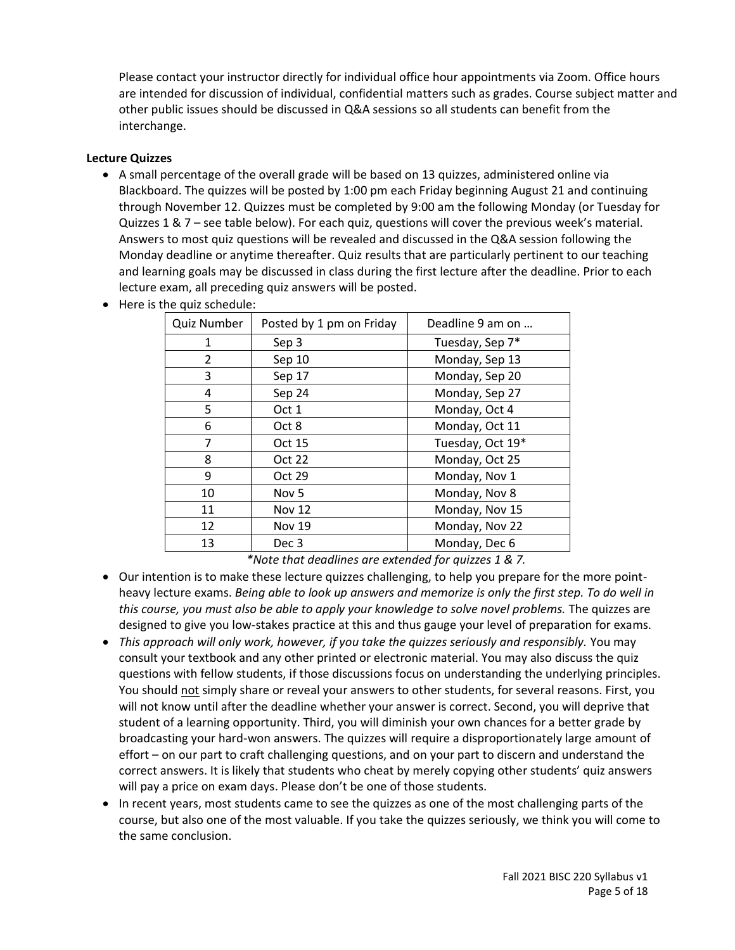Please contact your instructor directly for individual office hour appointments via Zoom. Office hours are intended for discussion of individual, confidential matters such as grades. Course subject matter and other public issues should be discussed in Q&A sessions so all students can benefit from the interchange.

## **Lecture Quizzes**

- A small percentage of the overall grade will be based on 13 quizzes, administered online via Blackboard. The quizzes will be posted by 1:00 pm each Friday beginning August 21 and continuing through November 12. Quizzes must be completed by 9:00 am the following Monday (or Tuesday for Quizzes 1 & 7 – see table below). For each quiz, questions will cover the previous week's material. Answers to most quiz questions will be revealed and discussed in the Q&A session following the Monday deadline or anytime thereafter. Quiz results that are particularly pertinent to our teaching and learning goals may be discussed in class during the first lecture after the deadline. Prior to each lecture exam, all preceding quiz answers will be posted.
	- Quiz Number  $\vert$  Posted by 1 pm on Friday  $\vert$  Deadline 9 am on ... 1 Sep 3 Tuesday, Sep 7\* 2 Sep 10 Monday, Sep 13 3 Sep 17 Monday, Sep 20 4 Sep 24 Monday, Sep 27 5 | Oct 1 | Monday, Oct 4 6 | Oct 8 | Monday, Oct 11 7 Oct 15 Tuesday, Oct 19\* 8 | Oct 22 | Monday, Oct 25 9 Oct 29 Monday, Nov 1 10 | Nov 5 | Monday, Nov 8 11 Nov 12 Monday, Nov 15 12 | Nov 19 | Monday, Nov 22 13 Dec 3 Monday, Dec 6

• Here is the quiz schedule:

*\*Note that deadlines are extended for quizzes 1 & 7.*

- Our intention is to make these lecture quizzes challenging, to help you prepare for the more pointheavy lecture exams. *Being able to look up answers and memorize is only the first step. To do well in this course, you must also be able to apply your knowledge to solve novel problems.* The quizzes are designed to give you low-stakes practice at this and thus gauge your level of preparation for exams.
- *This approach will only work, however, if you take the quizzes seriously and responsibly.* You may consult your textbook and any other printed or electronic material. You may also discuss the quiz questions with fellow students, if those discussions focus on understanding the underlying principles. You should not simply share or reveal your answers to other students, for several reasons. First, you will not know until after the deadline whether your answer is correct. Second, you will deprive that student of a learning opportunity. Third, you will diminish your own chances for a better grade by broadcasting your hard-won answers. The quizzes will require a disproportionately large amount of effort – on our part to craft challenging questions, and on your part to discern and understand the correct answers. It is likely that students who cheat by merely copying other students' quiz answers will pay a price on exam days. Please don't be one of those students.
- In recent years, most students came to see the quizzes as one of the most challenging parts of the course, but also one of the most valuable. If you take the quizzes seriously, we think you will come to the same conclusion.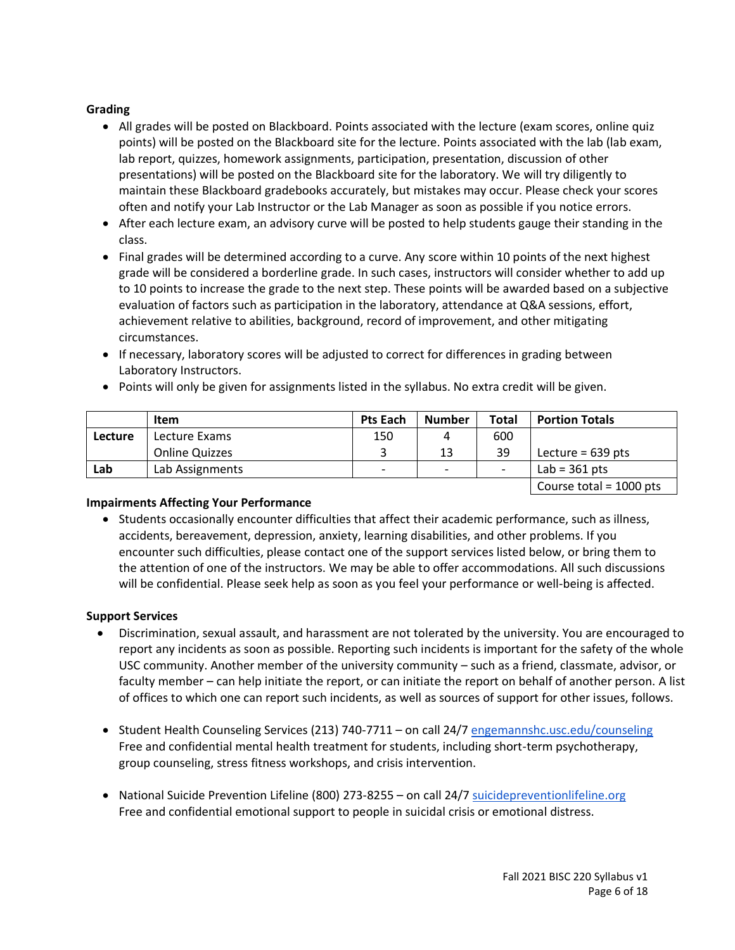# **Grading**

- All grades will be posted on Blackboard. Points associated with the lecture (exam scores, online quiz points) will be posted on the Blackboard site for the lecture. Points associated with the lab (lab exam, lab report, quizzes, homework assignments, participation, presentation, discussion of other presentations) will be posted on the Blackboard site for the laboratory. We will try diligently to maintain these Blackboard gradebooks accurately, but mistakes may occur. Please check your scores often and notify your Lab Instructor or the Lab Manager as soon as possible if you notice errors.
- After each lecture exam, an advisory curve will be posted to help students gauge their standing in the class.
- Final grades will be determined according to a curve. Any score within 10 points of the next highest grade will be considered a borderline grade. In such cases, instructors will consider whether to add up to 10 points to increase the grade to the next step. These points will be awarded based on a subjective evaluation of factors such as participation in the laboratory, attendance at Q&A sessions, effort, achievement relative to abilities, background, record of improvement, and other mitigating circumstances.
- If necessary, laboratory scores will be adjusted to correct for differences in grading between Laboratory Instructors.

|                | Item            | <b>Pts Each</b>          | <b>Number</b>            | Total | <b>Portion Totals</b>                                      |
|----------------|-----------------|--------------------------|--------------------------|-------|------------------------------------------------------------|
| <b>Lecture</b> | Lecture Exams   | 150                      | 4                        | 600   |                                                            |
|                | Online Quizzes  |                          | 13                       | 39    | Lecture = $639$ pts                                        |
| Lab            | Lab Assignments | $\overline{\phantom{0}}$ | $\overline{\phantom{0}}$ |       | Lab = $361$ pts                                            |
|                |                 |                          |                          |       | $C_{\text{a}11224} + \text{b}1 \times 1000 \times 10^{-4}$ |

• Points will only be given for assignments listed in the syllabus. No extra credit will be given.

| Course total =  $1000$  pts  $\parallel$ 

# **Impairments Affecting Your Performance**

• Students occasionally encounter difficulties that affect their academic performance, such as illness, accidents, bereavement, depression, anxiety, learning disabilities, and other problems. If you encounter such difficulties, please contact one of the support services listed below, or bring them to the attention of one of the instructors. We may be able to offer accommodations. All such discussions will be confidential. Please seek help as soon as you feel your performance or well-being is affected.

# **Support Services**

- Discrimination, sexual assault, and harassment are not tolerated by the university. You are encouraged to report any incidents as soon as possible. Reporting such incidents is important for the safety of the whole USC community. Another member of the university community – such as a friend, classmate, advisor, or faculty member – can help initiate the report, or can initiate the report on behalf of another person. A list of offices to which one can report such incidents, as well as sources of support for other issues, follows.
- Student Health Counseling Services (213) 740-7711 on call 24/7 [engemannshc.usc.edu/counseling](https://engemannshc.usc.edu/counseling/) Free and confidential mental health treatment for students, including short-term psychotherapy, [gr](https://engemannshc.usc.edu/counseling/)oup counseling, stress fitness workshops, and crisis intervention.
- National Suicide Prevention Lifeline (800) 273-8255 on call 24/[7 suicidepreventionlifeline.org](http://www.suicidepreventionlifeline.org/) Free and confidential emotional support to people in suicidal crisis or emotional distress.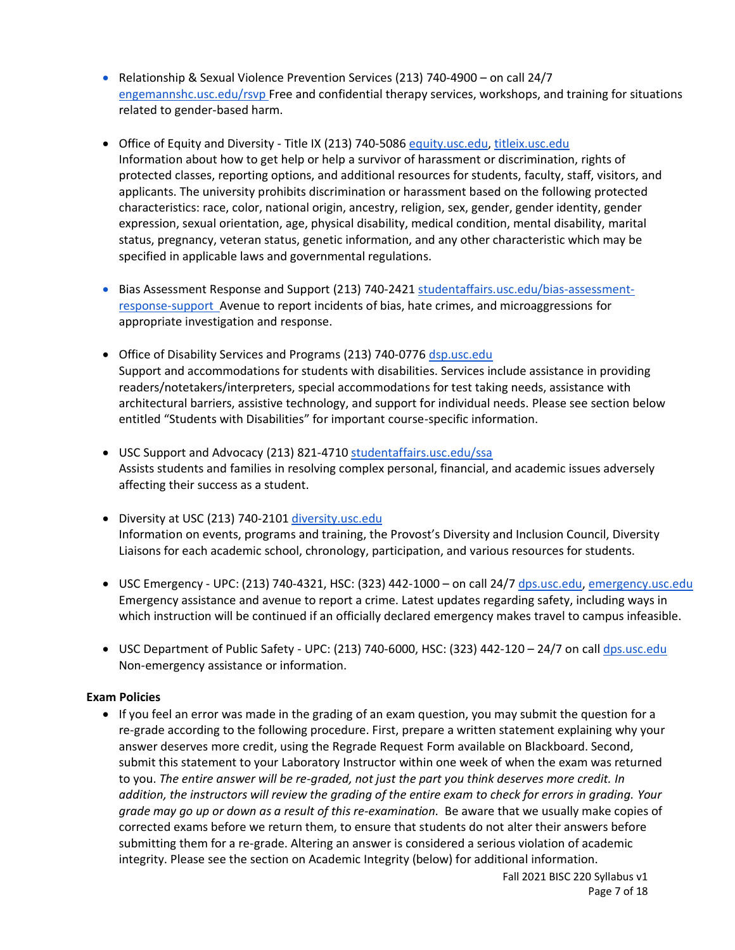- Relationship & Sexual Violence Prevention Services (213) 740-4900 on call 24/7 [engemannshc.usc.edu/rsvp](https://engemannshc.usc.edu/rsvp/) Free and confidential therapy services, workshops, and training for situations related to gender-based harm[.](https://engemannshc.usc.edu/rsvp/)
- Office of Equity and Diversity Title IX (213) 740-5086 [equity.usc.edu,](https://equity.usc.edu/) [titleix.usc.edu](http://titleix.usc.edu/) Information about how to get help or help a survivor of harassment or discrimination, rights of protected classes, reporting options, and additional resources for students, faculty, staff, visitors, and applicants. The university prohibits discrimination or harassment based on the following protected characteristics: race, color, national origin, ancestry, religion, sex, gender, gender identity, gender expression, sexual orientation, age, physical disability, medical condition, mental disability, marital status, pregnancy, veteran status, genetic information, and any other characteristic which may be specified in applicable laws and governmental regulations[.](http://sarc.usc.edu/)
- Bias Assessment Response and Support (213) 740-2421 [studentaffairs.usc.edu/bias-assessment](https://studentaffairs.usc.edu/bias-assessment-response-support/)[response-support](https://studentaffairs.usc.edu/bias-assessment-response-support/) Avenue to report incidents of bias, hate crimes, and microaggressions for appropriate investigation and response[.](https://studentaffairs.usc.edu/bias-assessment-response-support/)
- Office of Disability Services and Programs (213) 740-0776 [dsp.usc.edu](http://dsp.usc.edu/) Support and accommodations for students with disabilities. Services include assistance in providing readers/notetakers/interpreters, special accommodations for test taking needs, assistance with architectural barriers, assistive technology, and support for individual needs. Please see section below entitled "Students with Disabilities" for important course-specific information[.](http://dsp.usc.edu/)
- USC Support and Advocacy (213) 821-4710 [studentaffairs.usc.edu/ssa](https://studentaffairs.usc.edu/ssa/) Assists students and families in resolving complex personal, financial, and academic issues adversely affecting their success as a student[.](https://studentaffairs.usc.edu/ssa/)
- Diversity at USC (213) 740-2101 [diversity.usc.edu](https://diversity.usc.edu/) Information on events, programs and training, the Provost's Diversity and Inclusion Council, Diversity Liaisons for each academic school, chronology, participation, and various resources for students.
- USC Emergency UPC: (213) 740-4321, HSC: (323) 442-1000 on call 24/7 [dps.usc.edu,](http://dps.usc.edu/) [emergency.usc.edu](http://emergency.usc.edu/) Emergency assistance and avenue to report a crime. Latest updates regarding safety, including ways in which instruction will be continued if an officially declared emergency makes travel to campus infeasible.
- USC Department of Public Safety UPC: (213) 740-6000, HSC: (323) 442-120 24/7 on cal[l dps.usc.edu](http://dps.usc.edu/) Non-emergency assistance or information.

#### **Exam Policies**

• If you feel an error was made in the grading of an exam question, you may submit the question for a re-grade according to the following procedure. First, prepare a written statement explaining why your answer deserves more credit, using the Regrade Request Form available on Blackboard. Second, submit this statement to your Laboratory Instructor within one week of when the exam was returned to you. *The entire answer will be re-graded, not just the part you think deserves more credit. In addition, the instructors will review the grading of the entire exam to check for errors in grading. Your grade may go up or down as a result of this re-examination.* Be aware that we usually make copies of corrected exams before we return them, to ensure that students do not alter their answers before submitting them for a re-grade. Altering an answer is considered a serious violation of academic integrity. Please see the section on Academic Integrity (below) for additional information.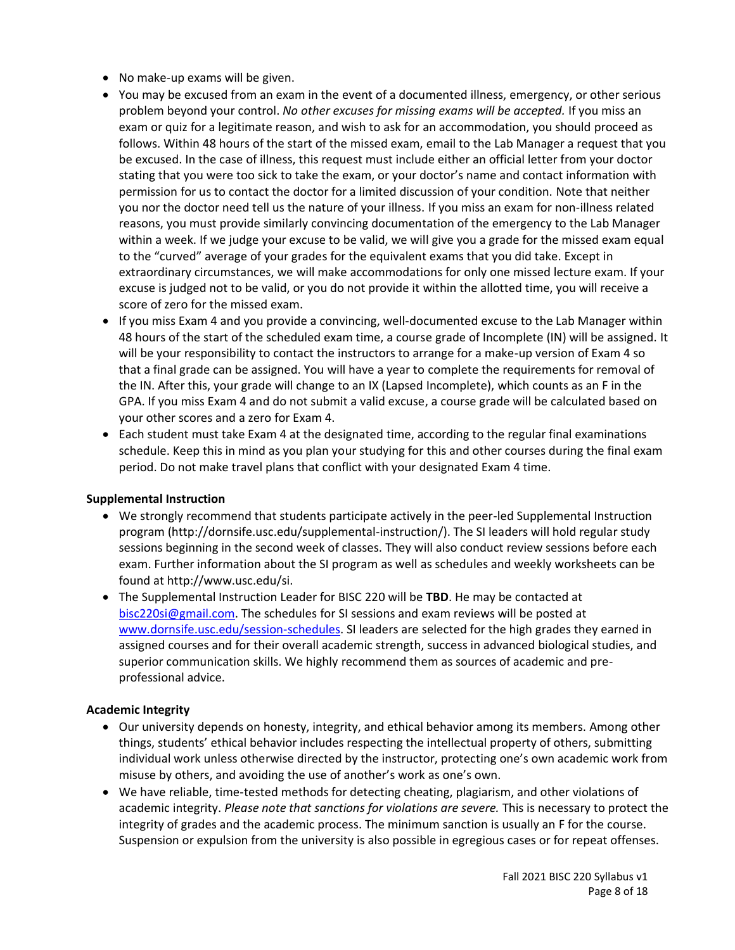- No make-up exams will be given.
- You may be excused from an exam in the event of a documented illness, emergency, or other serious problem beyond your control. *No other excuses for missing exams will be accepted.* If you miss an exam or quiz for a legitimate reason, and wish to ask for an accommodation, you should proceed as follows. Within 48 hours of the start of the missed exam, email to the Lab Manager a request that you be excused. In the case of illness, this request must include either an official letter from your doctor stating that you were too sick to take the exam, or your doctor's name and contact information with permission for us to contact the doctor for a limited discussion of your condition. Note that neither you nor the doctor need tell us the nature of your illness. If you miss an exam for non-illness related reasons, you must provide similarly convincing documentation of the emergency to the Lab Manager within a week. If we judge your excuse to be valid, we will give you a grade for the missed exam equal to the "curved" average of your grades for the equivalent exams that you did take. Except in extraordinary circumstances, we will make accommodations for only one missed lecture exam. If your excuse is judged not to be valid, or you do not provide it within the allotted time, you will receive a score of zero for the missed exam.
- If you miss Exam 4 and you provide a convincing, well-documented excuse to the Lab Manager within 48 hours of the start of the scheduled exam time, a course grade of Incomplete (IN) will be assigned. It will be your responsibility to contact the instructors to arrange for a make-up version of Exam 4 so that a final grade can be assigned. You will have a year to complete the requirements for removal of the IN. After this, your grade will change to an IX (Lapsed Incomplete), which counts as an F in the GPA. If you miss Exam 4 and do not submit a valid excuse, a course grade will be calculated based on your other scores and a zero for Exam 4.
- Each student must take Exam 4 at the designated time, according to the regular final examinations schedule. Keep this in mind as you plan your studying for this and other courses during the final exam period. Do not make travel plans that conflict with your designated Exam 4 time.

#### **Supplemental Instruction**

- We strongly recommend that students participate actively in the peer-led Supplemental Instruction program [\(http://dornsife.usc.edu/supplemental-instruction/\)](http://dornsife.usc.edu/supplemental-instruction/). The SI leaders will hold regular study sessions beginning in the second week of classes. They will also conduct review sessions before each exam. Further information about the SI program as well as schedules and weekly worksheets can be found at http://www.usc.edu/si.
- The Supplemental Instruction Leader for BISC 220 will be **TBD**. He may be contacted at [bisc220si@gmail.com.](mailto:bisc220si@gmail.com) The schedules for SI sessions and exam reviews will be posted at [www.dornsife.usc.edu/session-schedules.](http://www.dornsife.usc.edu/session-schedules) SI leaders are selected for the high grades they earned in assigned courses and for their overall academic strength, success in advanced biological studies, and superior communication skills. We highly recommend them as sources of academic and preprofessional advice.

# **Academic Integrity**

- Our university depends on honesty, integrity, and ethical behavior among its members. Among other things, students' ethical behavior includes respecting the intellectual property of others, submitting individual work unless otherwise directed by the instructor, protecting one's own academic work from misuse by others, and avoiding the use of another's work as one's own.
- We have reliable, time-tested methods for detecting cheating, plagiarism, and other violations of academic integrity. *Please note that sanctions for violations are severe.* This is necessary to protect the integrity of grades and the academic process. The minimum sanction is usually an F for the course. Suspension or expulsion from the university is also possible in egregious cases or for repeat offenses.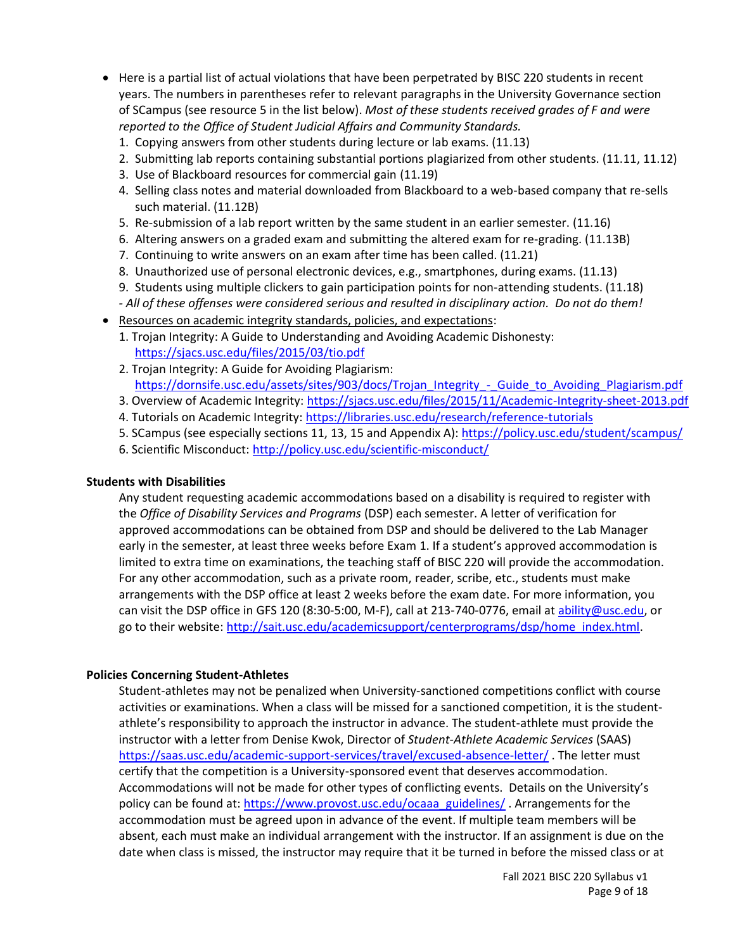- Here is a partial list of actual violations that have been perpetrated by BISC 220 students in recent years. The numbers in parentheses refer to relevant paragraphs in the University Governance section of SCampus (see resource 5 in the list below). *Most of these students received grades of F and were reported to the Office of Student Judicial Affairs and Community Standards.*
	- 1. Copying answers from other students during lecture or lab exams. (11.13)
	- 2. Submitting lab reports containing substantial portions plagiarized from other students. (11.11, 11.12)
	- 3. Use of Blackboard resources for commercial gain (11.19)
	- 4. Selling class notes and material downloaded from Blackboard to a web-based company that re-sells such material. (11.12B)
	- 5. Re-submission of a lab report written by the same student in an earlier semester. (11.16)
	- 6. Altering answers on a graded exam and submitting the altered exam for re-grading. (11.13B)
	- 7. Continuing to write answers on an exam after time has been called. (11.21)
	- 8. Unauthorized use of personal electronic devices, e.g., smartphones, during exams. (11.13)
	- 9. Students using multiple clickers to gain participation points for non-attending students. (11.18) *- All of these offenses were considered serious and resulted in disciplinary action. Do not do them!*
- Resources on academic integrity standards, policies, and expectations:
	- 1. Trojan Integrity: A Guide to Understanding and Avoiding Academic Dishonesty: <https://sjacs.usc.edu/files/2015/03/tio.pdf>
	- 2. Trojan Integrity: A Guide for Avoiding Plagiarism: [https://dornsife.usc.edu/assets/sites/903/docs/Trojan\\_Integrity\\_-\\_Guide\\_to\\_Avoiding\\_Plagiarism.pdf](https://dornsife.usc.edu/assets/sites/903/docs/Trojan_Integrity_-_Guide_to_Avoiding_Plagiarism.pdf)
	- 3. Overview of Academic Integrity[: https://sjacs.usc.edu/files/2015/11/Academic-Integrity-sheet-2013.pdf](https://sjacs.usc.edu/files/2015/11/Academic-Integrity-sheet-2013.pdf)
	- 4. Tutorials on Academic Integrity:<https://libraries.usc.edu/research/reference-tutorials>
	- 5. SCampus (see especially sections 11, 13, 15 and Appendix A): <https://policy.usc.edu/student/scampus/>
	- 6. Scientific Misconduct: <http://policy.usc.edu/scientific-misconduct/>

#### **Students with Disabilities**

Any student requesting academic accommodations based on a disability is required to register with the *Office of Disability Services and Programs* (DSP) each semester. A letter of verification for approved accommodations can be obtained from DSP and should be delivered to the Lab Manager early in the semester, at least three weeks before Exam 1. If a student's approved accommodation is limited to extra time on examinations, the teaching staff of BISC 220 will provide the accommodation. For any other accommodation, such as a private room, reader, scribe, etc., students must make arrangements with the DSP office at least 2 weeks before the exam date. For more information, you can visit the DSP office in GFS 120 (8:30-5:00, M-F), call at 213-740-0776, email at [ability@usc.edu,](mailto:ability@usc.edu) or go to their website[: http://sait.usc.edu/academicsupport/centerprograms/dsp/home\\_index.html.](http://sait.usc.edu/academicsupport/centerprograms/dsp/home_index.html)

#### **Policies Concerning Student-Athletes**

Student‐athletes may not be penalized when University‐sanctioned competitions conflict with course activities or examinations. When a class will be missed for a sanctioned competition, it is the student‐ athlete's responsibility to approach the instructor in advance. The student-athlete must provide the instructor with a letter from Denise Kwok, Director of *Student-Athlete Academic Services* (SAAS) <https://saas.usc.edu/academic-support-services/travel/excused-absence-letter/> . The letter must certify that the competition is a University-sponsored event that deserves accommodation. Accommodations will not be made for other types of conflicting events. Details on the University's policy can be found at: [https://www.provost.usc.edu/ocaaa\\_guidelines/](https://www.provost.usc.edu/ocaaa_guidelines/) . Arrangements for the accommodation must be agreed upon in advance of the event. If multiple team members will be absent, each must make an individual arrangement with the instructor. If an assignment is due on the date when class is missed, the instructor may require that it be turned in before the missed class or at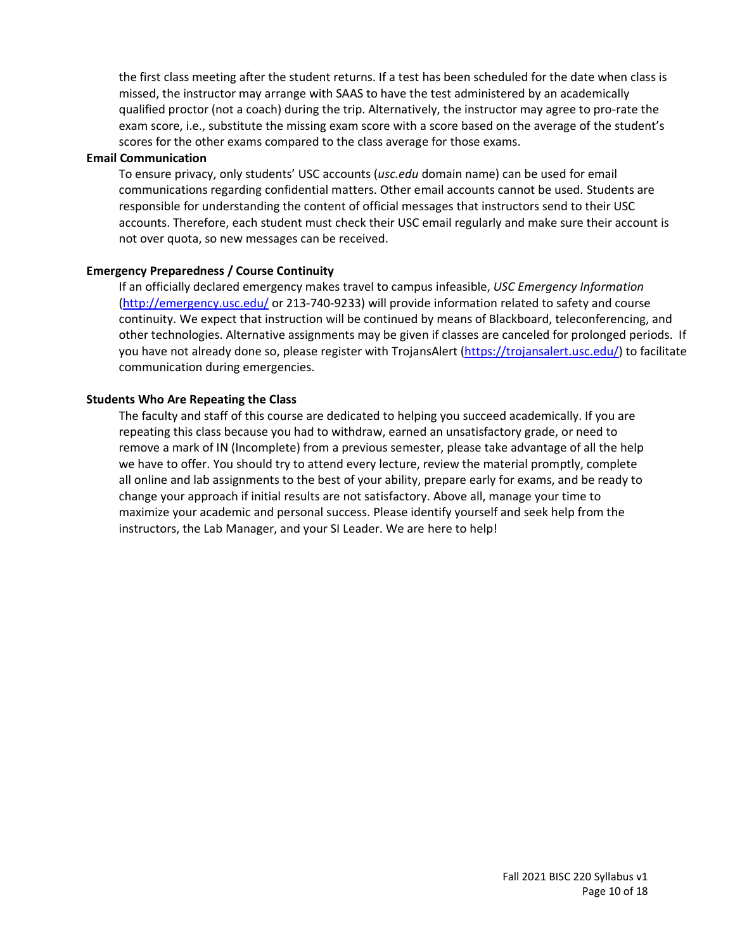the first class meeting after the student returns. If a test has been scheduled for the date when class is missed, the instructor may arrange with SAAS to have the test administered by an academically qualified proctor (not a coach) during the trip. Alternatively, the instructor may agree to pro-rate the exam score, i.e., substitute the missing exam score with a score based on the average of the student's scores for the other exams compared to the class average for those exams.

#### **Email Communication**

To ensure privacy, only students' USC accounts (*usc.edu* domain name) can be used for email communications regarding confidential matters. Other email accounts cannot be used. Students are responsible for understanding the content of official messages that instructors send to their USC accounts. Therefore, each student must check their USC email regularly and make sure their account is not over quota, so new messages can be received.

#### **Emergency Preparedness / Course Continuity**

If an officially declared emergency makes travel to campus infeasible, *USC Emergency Information* [\(http://emergency.usc.edu/](http://emergency.usc.edu/) or 213-740-9233) will provide information related to safety and course continuity. We expect that instruction will be continued by means of Blackboard, teleconferencing, and other technologies. Alternative assignments may be given if classes are canceled for prolonged periods. If you have not already done so, please register with TrojansAlert [\(https://trojansalert.usc.edu/\)](https://trojansalert.usc.edu/) to facilitate communication during emergencies.

#### **Students Who Are Repeating the Class**

The faculty and staff of this course are dedicated to helping you succeed academically. If you are repeating this class because you had to withdraw, earned an unsatisfactory grade, or need to remove a mark of IN (Incomplete) from a previous semester, please take advantage of all the help we have to offer. You should try to attend every lecture, review the material promptly, complete all online and lab assignments to the best of your ability, prepare early for exams, and be ready to change your approach if initial results are not satisfactory. Above all, manage your time to maximize your academic and personal success. Please identify yourself and seek help from the instructors, the Lab Manager, and your SI Leader. We are here to help!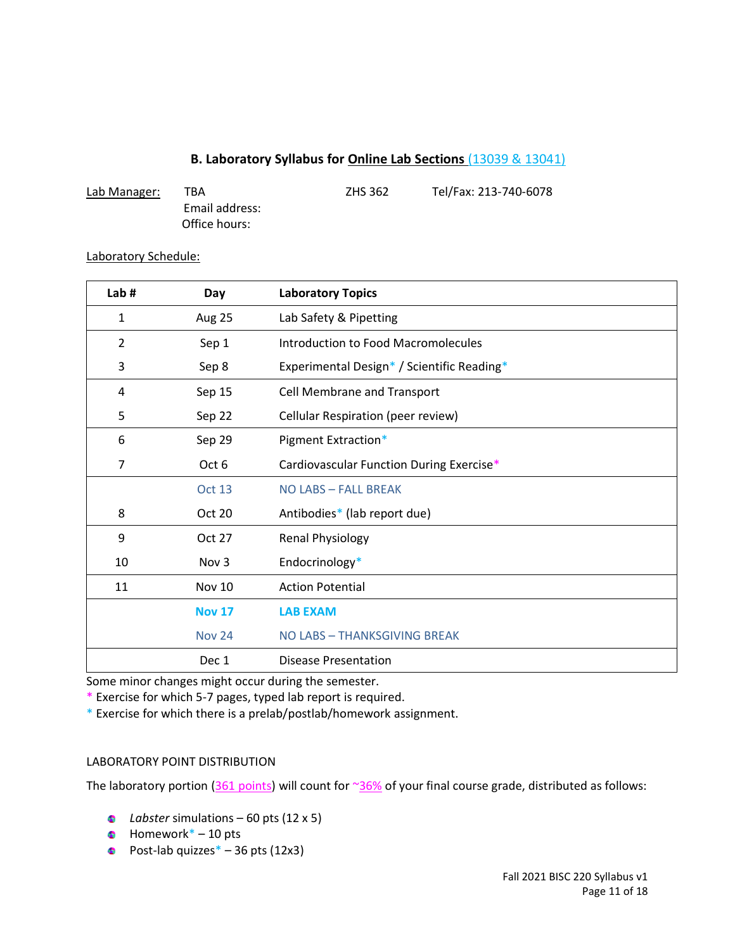# **B. Laboratory Syllabus for Online Lab Sections** (13039 & 13041)

| Lab Manager: | TBA            | <b>ZHS 362</b> | Tel/Fax: 213-740-6078 |
|--------------|----------------|----------------|-----------------------|
|              | Email address: |                |                       |
|              | Office hours:  |                |                       |

#### Laboratory Schedule:

| Lab#           | Day              | <b>Laboratory Topics</b>                   |
|----------------|------------------|--------------------------------------------|
| 1              | Aug 25           | Lab Safety & Pipetting                     |
| $\overline{2}$ | Sep 1            | Introduction to Food Macromolecules        |
| 3              | Sep 8            | Experimental Design* / Scientific Reading* |
| 4              | Sep 15           | <b>Cell Membrane and Transport</b>         |
| 5              | Sep 22           | Cellular Respiration (peer review)         |
| 6              | Sep 29           | Pigment Extraction*                        |
| 7              | Oct 6            | Cardiovascular Function During Exercise*   |
|                | Oct 13           | NO LABS - FALL BREAK                       |
| 8              | Oct 20           | Antibodies* (lab report due)               |
| 9              | Oct 27           | <b>Renal Physiology</b>                    |
| 10             | Nov <sub>3</sub> | Endocrinology*                             |
| 11             | <b>Nov 10</b>    | <b>Action Potential</b>                    |
|                | <b>Nov 17</b>    | <b>LAB EXAM</b>                            |
|                | <b>Nov 24</b>    | NO LABS - THANKSGIVING BREAK               |
|                | Dec 1            | <b>Disease Presentation</b>                |

Some minor changes might occur during the semester.

\* Exercise for which 5-7 pages, typed lab report is required.

\* Exercise for which there is a prelab/postlab/homework assignment.

#### LABORATORY POINT DISTRIBUTION

The laboratory portion (361 points) will count for  $\frac{36\%}{36\%}$  of your final course grade, distributed as follows:

- *Labster* simulations 60 pts (12 x 5)
- $\bullet$  Homework\* 10 pts
- Post-lab quizzes $*$  36 pts (12x3)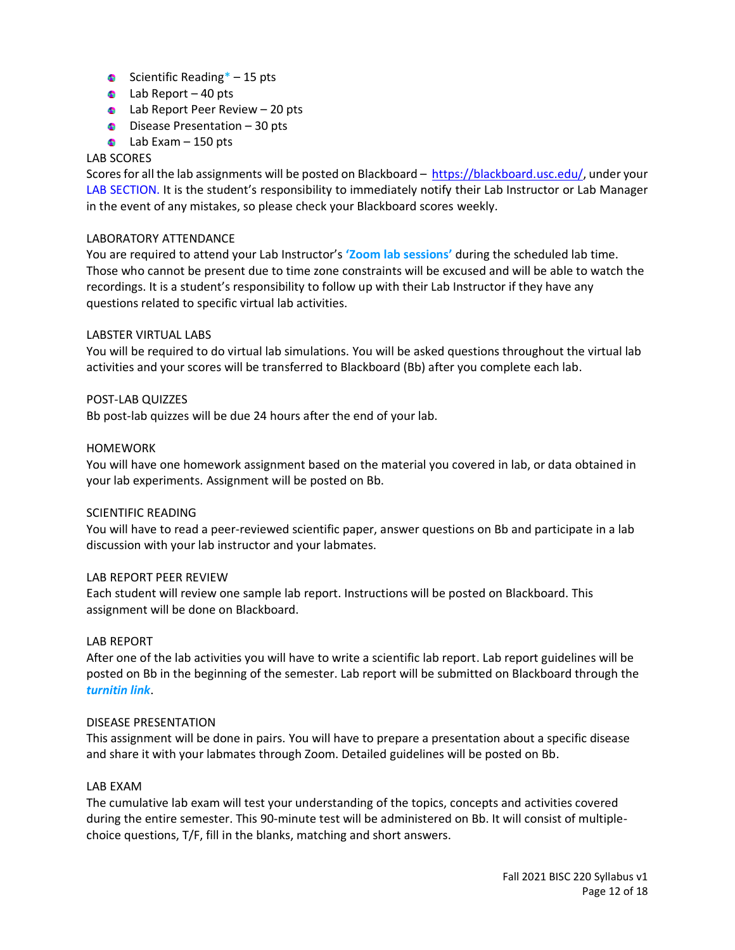- Scientific Reading $* 15$  pts
- $\bullet$  Lab Report 40 pts
- **Calcular Peer Review 20 pts**
- $\bullet$  Disease Presentation 30 pts
- $\bullet$  Lab Exam 150 pts

## LAB SCORES

Scores for all the lab assignments will be posted on Blackboard – [https://blackboard.usc.edu/,](https://blackboard.usc.edu/) under your LAB SECTION. It is the student's responsibility to immediately notify their Lab Instructor or Lab Manager in the event of any mistakes, so please check your Blackboard scores weekly.

#### LABORATORY ATTENDANCE

You are required to attend your Lab Instructor's **'Zoom lab sessions'** during the scheduled lab time. Those who cannot be present due to time zone constraints will be excused and will be able to watch the recordings. It is a student's responsibility to follow up with their Lab Instructor if they have any questions related to specific virtual lab activities.

#### LABSTER VIRTUAL LABS

You will be required to do virtual lab simulations. You will be asked questions throughout the virtual lab activities and your scores will be transferred to Blackboard (Bb) after you complete each lab.

#### POST-LAB QUIZZES

Bb post-lab quizzes will be due 24 hours after the end of your lab.

#### HOMEWORK

You will have one homework assignment based on the material you covered in lab, or data obtained in your lab experiments. Assignment will be posted on Bb.

#### SCIENTIFIC READING

You will have to read a peer-reviewed scientific paper, answer questions on Bb and participate in a lab discussion with your lab instructor and your labmates.

#### LAB REPORT PEER REVIEW

Each student will review one sample lab report. Instructions will be posted on Blackboard. This assignment will be done on Blackboard.

#### LAB REPORT

After one of the lab activities you will have to write a scientific lab report. Lab report guidelines will be posted on Bb in the beginning of the semester. Lab report will be submitted on Blackboard through the *turnitin link*.

#### DISEASE PRESENTATION

This assignment will be done in pairs. You will have to prepare a presentation about a specific disease and share it with your labmates through Zoom. Detailed guidelines will be posted on Bb.

#### LAB EXAM

The cumulative lab exam will test your understanding of the topics, concepts and activities covered during the entire semester. This 90-minute test will be administered on Bb. It will consist of multiplechoice questions, T/F, fill in the blanks, matching and short answers.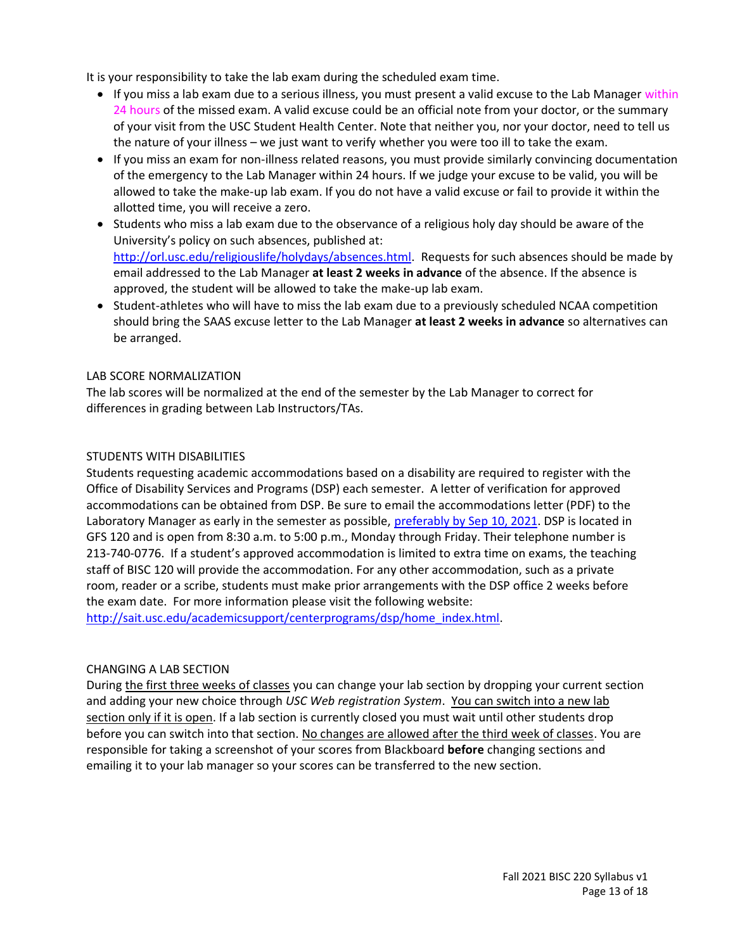It is your responsibility to take the lab exam during the scheduled exam time.

- If you miss a lab exam due to a serious illness, you must present a valid excuse to the Lab Manager within 24 hours of the missed exam. A valid excuse could be an official note from your doctor, or the summary of your visit from the USC Student Health Center. Note that neither you, nor your doctor, need to tell us the nature of your illness – we just want to verify whether you were too ill to take the exam.
- If you miss an exam for non-illness related reasons, you must provide similarly convincing documentation of the emergency to the Lab Manager within 24 hours. If we judge your excuse to be valid, you will be allowed to take the make-up lab exam. If you do not have a valid excuse or fail to provide it within the allotted time, you will receive a zero.
- Students who miss a lab exam due to the observance of a religious holy day should be aware of the University's policy on such absences, published at: [http://orl.usc.edu/religiouslife/holydays/absences.html.](http://orl.usc.edu/religiouslife/holydays/absences.html) Requests for such absences should be made by email addressed to the Lab Manager **at least 2 weeks in advance** of the absence. If the absence is approved, the student will be allowed to take the make-up lab exam.
- Student-athletes who will have to miss the lab exam due to a previously scheduled NCAA competition should bring the SAAS excuse letter to the Lab Manager **at least 2 weeks in advance** so alternatives can be arranged.

## LAB SCORE NORMALIZATION

The lab scores will be normalized at the end of the semester by the Lab Manager to correct for differences in grading between Lab Instructors/TAs.

## STUDENTS WITH DISABILITIES

Students requesting academic accommodations based on a disability are required to register with the Office of Disability Services and Programs (DSP) each semester. A letter of verification for approved accommodations can be obtained from DSP. Be sure to email the accommodations letter (PDF) to the Laboratory Manager as early in the semester as possible, preferably by Sep 10, 2021. DSP is located in GFS 120 and is open from 8:30 a.m. to 5:00 p.m., Monday through Friday. Their telephone number is 213-740-0776. If a student's approved accommodation is limited to extra time on exams, the teaching staff of BISC 120 will provide the accommodation. For any other accommodation, such as a private room, reader or a scribe, students must make prior arrangements with the DSP office 2 weeks before the exam date. For more information please visit the following website:

[http://sait.usc.edu/academicsupport/centerprograms/dsp/home\\_index.html.](http://sait.usc.edu/academicsupport/centerprograms/dsp/home_index.html)

# CHANGING A LAB SECTION

During the first three weeks of classes you can change your lab section by dropping your current section and adding your new choice through *USC Web registration System*. You can switch into a new lab section only if it is open. If a lab section is currently closed you must wait until other students drop before you can switch into that section. No changes are allowed after the third week of classes. You are responsible for taking a screenshot of your scores from Blackboard **before** changing sections and emailing it to your lab manager so your scores can be transferred to the new section.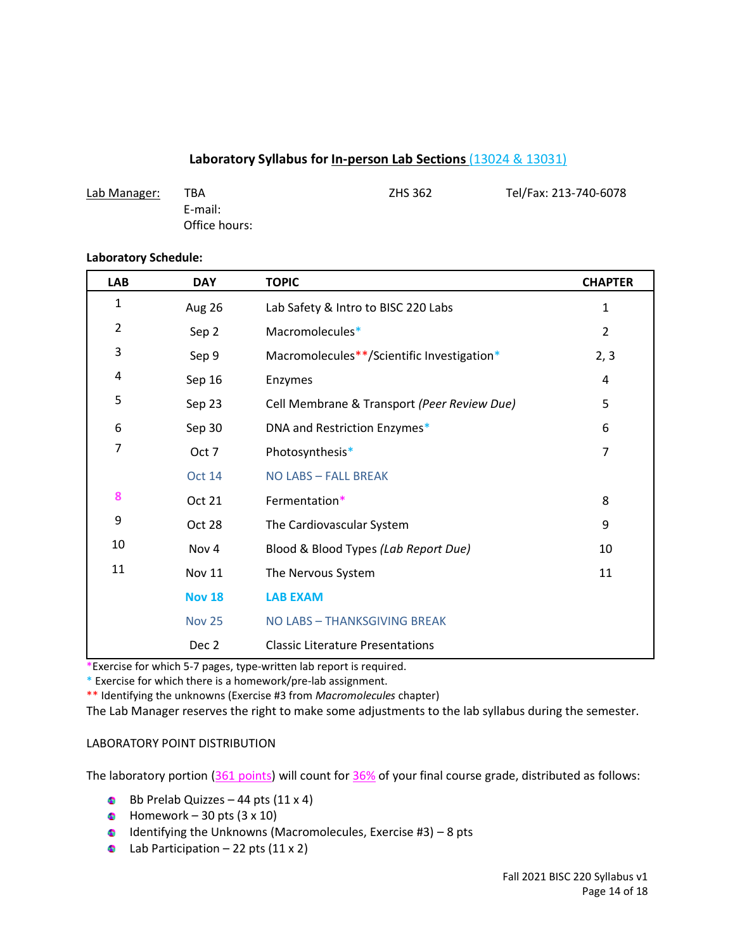## **Laboratory Syllabus for In-person Lab Sections** (13024 & 13031)

| Lab Manager: | TBA           | ZHS 362 | Tel/Fax: 213-740-6078 |
|--------------|---------------|---------|-----------------------|
|              | E-mail:       |         |                       |
|              | Office hours: |         |                       |

#### **Laboratory Schedule:**

| <b>LAB</b>     | <b>DAY</b>    | <b>TOPIC</b>                                | <b>CHAPTER</b> |
|----------------|---------------|---------------------------------------------|----------------|
| $\mathbf{1}$   | Aug 26        | Lab Safety & Intro to BISC 220 Labs         | $\mathbf{1}$   |
| $\overline{2}$ | Sep 2         | Macromolecules*                             | $\overline{2}$ |
| 3              | Sep 9         | Macromolecules**/Scientific Investigation*  | 2, 3           |
| 4              | Sep 16        | Enzymes                                     | 4              |
| 5              | Sep 23        | Cell Membrane & Transport (Peer Review Due) | 5              |
| 6              | Sep 30        | DNA and Restriction Enzymes*                | 6              |
| 7              | Oct 7         | Photosynthesis*                             | 7              |
|                | <b>Oct 14</b> | NO LABS - FALL BREAK                        |                |
| 8              | Oct 21        | Fermentation*                               | 8              |
| 9              | Oct 28        | The Cardiovascular System                   | 9              |
| 10             | Nov 4         | Blood & Blood Types (Lab Report Due)        | 10             |
| 11             | <b>Nov 11</b> | The Nervous System                          | 11             |
|                | <b>Nov 18</b> | <b>LAB EXAM</b>                             |                |
|                | <b>Nov 25</b> | NO LABS - THANKSGIVING BREAK                |                |
|                | Dec 2         | <b>Classic Literature Presentations</b>     |                |

\*Exercise for which 5-7 pages, type-written lab report is required.

\* Exercise for which there is a homework/pre-lab assignment.

\*\* Identifying the unknowns (Exercise #3 from *Macromolecules* chapter)

The Lab Manager reserves the right to make some adjustments to the lab syllabus during the semester.

#### LABORATORY POINT DISTRIBUTION

The laboratory portion (361 points) will count for 36% of your final course grade, distributed as follows:

- Bb Prelab Quizzes 44 pts  $(11 \times 4)$
- $\bullet$  Homework 30 pts (3 x 10)
- $\bullet$  Identifying the Unknowns (Macromolecules, Exercise #3) 8 pts
- Lab Participation 22 pts  $(11 \times 2)$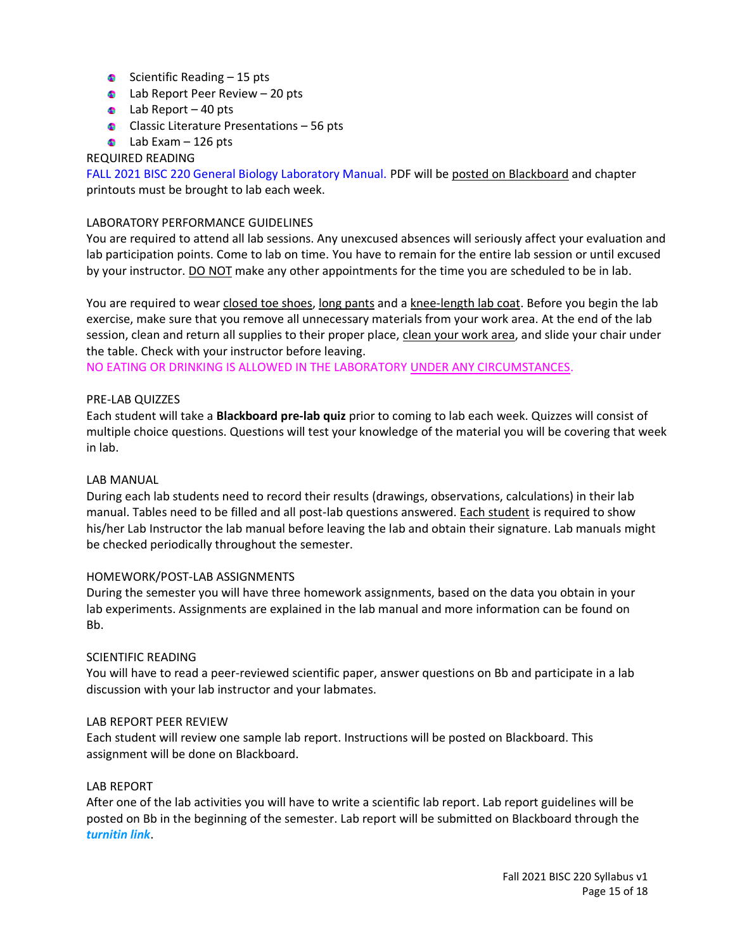- Scientific Reading  $-15$  pts
- $\bullet$  Lab Report Peer Review 20 pts
- Lab Report  $-40$  pts
- **Classic Literature Presentations 56 pts**
- $\bullet$  Lab Exam 126 pts

### REQUIRED READING

FALL 2021 BISC 220 General Biology Laboratory Manual. PDF will be posted on Blackboard and chapter printouts must be brought to lab each week.

#### LABORATORY PERFORMANCE GUIDELINES

You are required to attend all lab sessions. Any unexcused absences will seriously affect your evaluation and lab participation points. Come to lab on time. You have to remain for the entire lab session or until excused by your instructor. DO NOT make any other appointments for the time you are scheduled to be in lab.

You are required to wear closed toe shoes, long pants and a knee-length lab coat. Before you begin the lab exercise, make sure that you remove all unnecessary materials from your work area. At the end of the lab session, clean and return all supplies to their proper place, clean your work area, and slide your chair under the table. Check with your instructor before leaving.

NO EATING OR DRINKING IS ALLOWED IN THE LABORATORY UNDER ANY CIRCUMSTANCES.

#### PRE-LAB QUIZZES

Each student will take a **Blackboard pre-lab quiz** prior to coming to lab each week. Quizzes will consist of multiple choice questions. Questions will test your knowledge of the material you will be covering that week in lab.

#### LAB MANUAL

During each lab students need to record their results (drawings, observations, calculations) in their lab manual. Tables need to be filled and all post-lab questions answered. Each student is required to show his/her Lab Instructor the lab manual before leaving the lab and obtain their signature. Lab manuals might be checked periodically throughout the semester.

#### HOMEWORK/POST-LAB ASSIGNMENTS

During the semester you will have three homework assignments, based on the data you obtain in your lab experiments. Assignments are explained in the lab manual and more information can be found on Bb.

#### SCIENTIFIC READING

You will have to read a peer-reviewed scientific paper, answer questions on Bb and participate in a lab discussion with your lab instructor and your labmates.

#### LAB REPORT PEER REVIEW

Each student will review one sample lab report. Instructions will be posted on Blackboard. This assignment will be done on Blackboard.

#### LAB REPORT

After one of the lab activities you will have to write a scientific lab report. Lab report guidelines will be posted on Bb in the beginning of the semester. Lab report will be submitted on Blackboard through the *turnitin link*.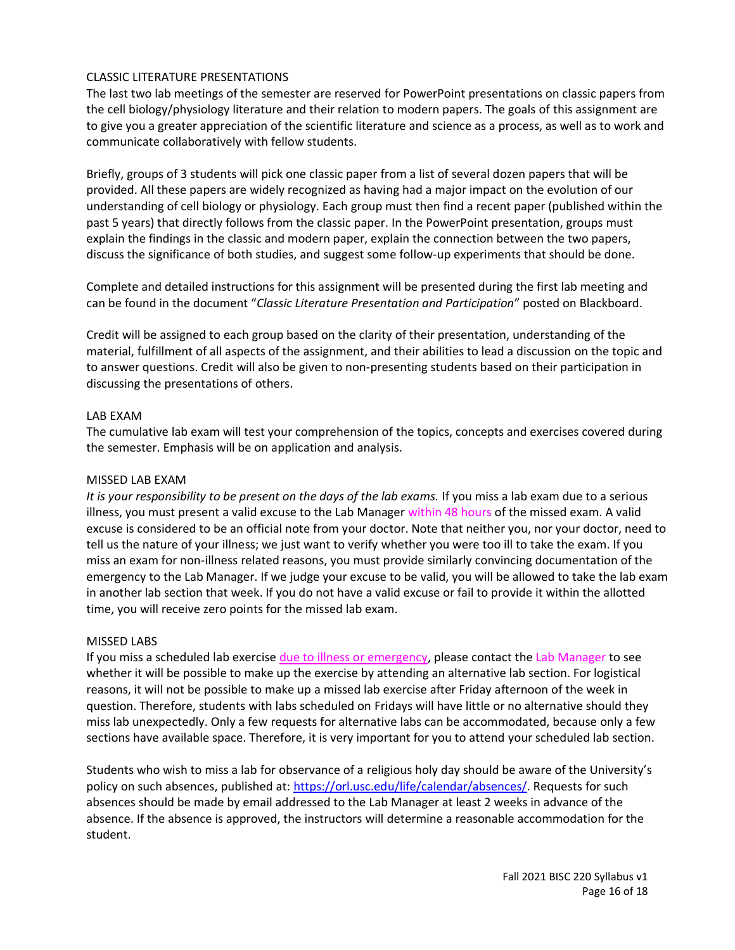## CLASSIC LITERATURE PRESENTATIONS

The last two lab meetings of the semester are reserved for PowerPoint presentations on classic papers from the cell biology/physiology literature and their relation to modern papers. The goals of this assignment are to give you a greater appreciation of the scientific literature and science as a process, as well as to work and communicate collaboratively with fellow students.

Briefly, groups of 3 students will pick one classic paper from a list of several dozen papers that will be provided. All these papers are widely recognized as having had a major impact on the evolution of our understanding of cell biology or physiology. Each group must then find a recent paper (published within the past 5 years) that directly follows from the classic paper. In the PowerPoint presentation, groups must explain the findings in the classic and modern paper, explain the connection between the two papers, discuss the significance of both studies, and suggest some follow-up experiments that should be done.

Complete and detailed instructions for this assignment will be presented during the first lab meeting and can be found in the document "*Classic Literature Presentation and Participation*" posted on Blackboard.

Credit will be assigned to each group based on the clarity of their presentation, understanding of the material, fulfillment of all aspects of the assignment, and their abilities to lead a discussion on the topic and to answer questions. Credit will also be given to non-presenting students based on their participation in discussing the presentations of others.

#### LAB EXAM

The cumulative lab exam will test your comprehension of the topics, concepts and exercises covered during the semester. Emphasis will be on application and analysis.

#### MISSED LAB EXAM

*It is your responsibility to be present on the days of the lab exams.* If you miss a lab exam due to a serious illness, you must present a valid excuse to the Lab Manager within 48 hours of the missed exam. A valid excuse is considered to be an official note from your doctor. Note that neither you, nor your doctor, need to tell us the nature of your illness; we just want to verify whether you were too ill to take the exam. If you miss an exam for non-illness related reasons, you must provide similarly convincing documentation of the emergency to the Lab Manager. If we judge your excuse to be valid, you will be allowed to take the lab exam in another lab section that week. If you do not have a valid excuse or fail to provide it within the allotted time, you will receive zero points for the missed lab exam.

#### MISSED LABS

If you miss a scheduled lab exercise due to illness or emergency, please contact the Lab Manager to see whether it will be possible to make up the exercise by attending an alternative lab section. For logistical reasons, it will not be possible to make up a missed lab exercise after Friday afternoon of the week in question. Therefore, students with labs scheduled on Fridays will have little or no alternative should they miss lab unexpectedly. Only a few requests for alternative labs can be accommodated, because only a few sections have available space. Therefore, it is very important for you to attend your scheduled lab section.

Students who wish to miss a lab for observance of a religious holy day should be aware of the University's policy on such absences, published at: [https://orl.usc.edu/life/calendar/absences/.](https://orl.usc.edu/life/calendar/absences/) Requests for such absences should be made by email addressed to the Lab Manager at least 2 weeks in advance of the absence. If the absence is approved, the instructors will determine a reasonable accommodation for the student.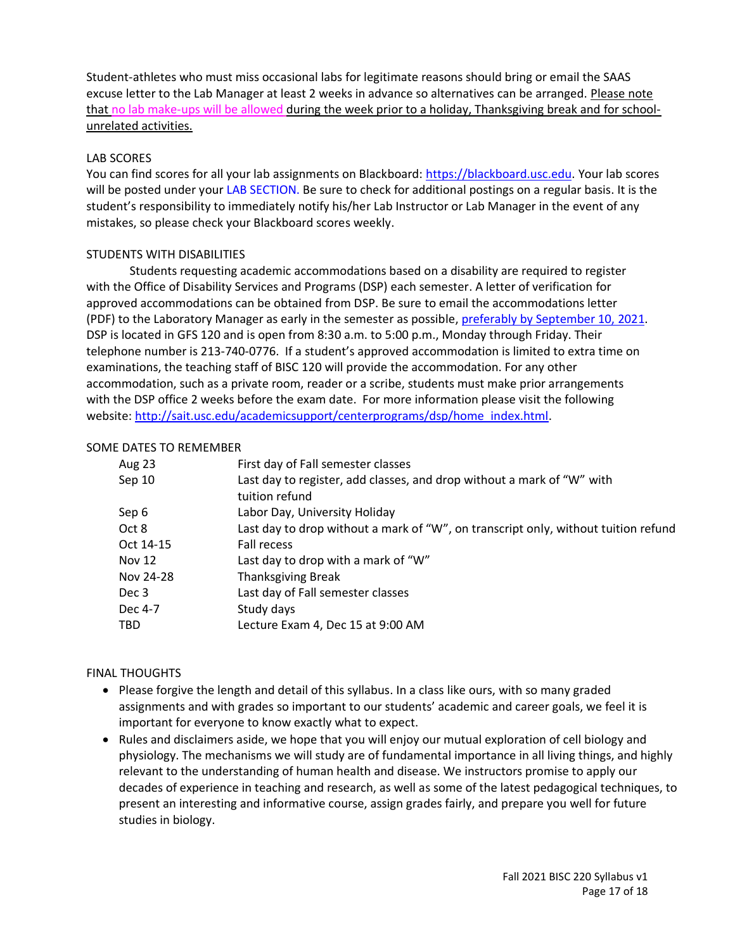Student-athletes who must miss occasional labs for legitimate reasons should bring or email the SAAS excuse letter to the Lab Manager at least 2 weeks in advance so alternatives can be arranged. Please note that no lab make-ups will be allowed during the week prior to a holiday, Thanksgiving break and for schoolunrelated activities.

# LAB SCORES

You can find scores for all your lab assignments on Blackboard: [https://blackboard.usc.edu.](https://blackboard.usc.edu/) Your lab scores will be posted under your LAB SECTION. Be sure to check for additional postings on a regular basis. It is the student's responsibility to immediately notify his/her Lab Instructor or Lab Manager in the event of any mistakes, so please check your Blackboard scores weekly.

## STUDENTS WITH DISABILITIES

Students requesting academic accommodations based on a disability are required to register with the Office of Disability Services and Programs (DSP) each semester. A letter of verification for approved accommodations can be obtained from DSP. Be sure to email the accommodations letter (PDF) to the Laboratory Manager as early in the semester as possible, preferably by September 10, 2021. DSP is located in GFS 120 and is open from 8:30 a.m. to 5:00 p.m., Monday through Friday. Their telephone number is 213-740-0776. If a student's approved accommodation is limited to extra time on examinations, the teaching staff of BISC 120 will provide the accommodation. For any other accommodation, such as a private room, reader or a scribe, students must make prior arrangements with the DSP office 2 weeks before the exam date. For more information please visit the following website: [http://sait.usc.edu/academicsupport/centerprograms/dsp/home\\_index.html.](http://sait.usc.edu/academicsupport/centerprograms/dsp/home_index.html)

## SOME DATES TO REMEMBER

| Aug 23        | First day of Fall semester classes                                                       |
|---------------|------------------------------------------------------------------------------------------|
| Sep 10        | Last day to register, add classes, and drop without a mark of "W" with<br>tuition refund |
| Sep 6         | Labor Day, University Holiday                                                            |
| Oct 8         | Last day to drop without a mark of "W", on transcript only, without tuition refund       |
| Oct 14-15     | <b>Fall recess</b>                                                                       |
| <b>Nov 12</b> | Last day to drop with a mark of "W"                                                      |
| Nov 24-28     | <b>Thanksgiving Break</b>                                                                |
| Dec 3         | Last day of Fall semester classes                                                        |
| Dec 4-7       | Study days                                                                               |
| TBD.          | Lecture Exam 4, Dec 15 at 9:00 AM                                                        |

# FINAL THOUGHTS

- Please forgive the length and detail of this syllabus. In a class like ours, with so many graded assignments and with grades so important to our students' academic and career goals, we feel it is important for everyone to know exactly what to expect.
- Rules and disclaimers aside, we hope that you will enjoy our mutual exploration of cell biology and physiology. The mechanisms we will study are of fundamental importance in all living things, and highly relevant to the understanding of human health and disease. We instructors promise to apply our decades of experience in teaching and research, as well as some of the latest pedagogical techniques, to present an interesting and informative course, assign grades fairly, and prepare you well for future studies in biology.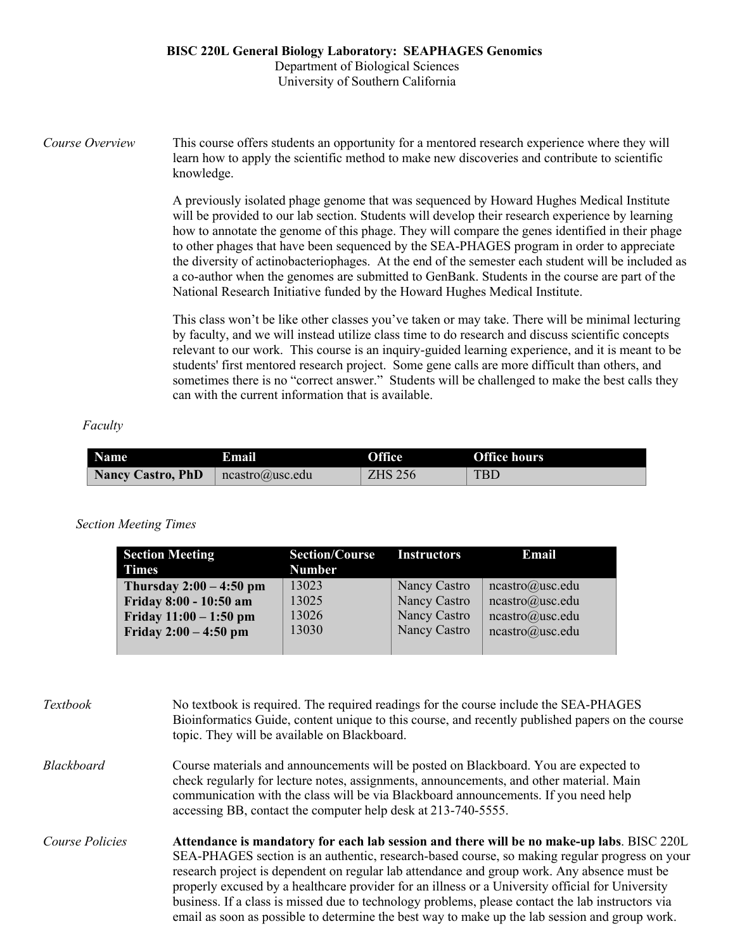### **BISC 220L General Biology Laboratory: SEAPHAGES Genomics** Department of Biological Sciences University of Southern California

*Course Overview* This course offers students an opportunity for a mentored research experience where they will learn how to apply the scientific method to make new discoveries and contribute to scientific knowledge.

> A previously isolated phage genome that was sequenced by Howard Hughes Medical Institute will be provided to our lab section. Students will develop their research experience by learning how to annotate the genome of this phage. They will compare the genes identified in their phage to other phages that have been sequenced by the SEA-PHAGES program in order to appreciate the diversity of actinobacteriophages. At the end of the semester each student will be included as a co-author when the genomes are submitted to GenBank. Students in the course are part of the National Research Initiative funded by the Howard Hughes Medical Institute.

This class won't be like other classes you've taken or may take. There will be minimal lecturing by faculty, and we will instead utilize class time to do research and discuss scientific concepts relevant to our work. This course is an inquiry-guided learning experience, and it is meant to be students' first mentored research project. Some gene calls are more difficult than others, and sometimes there is no "correct answer." Students will be challenged to make the best calls they can with the current information that is available.

#### *Faculty*

| <b>Name</b>              | <b>Email</b>                                   | <b>Office</b>  | <b>Office hours</b> |
|--------------------------|------------------------------------------------|----------------|---------------------|
| <b>Nancy Castro, PhD</b> | $rac{\log x}{\log x}$ neastro $\omega$ usc.edu | <b>ZHS 256</b> | <b>TBD</b>          |

#### *Section Meeting Times*

| <b>Section Meeting</b>    | <b>Section/Course</b> | <b>Instructors</b> | Email           |
|---------------------------|-----------------------|--------------------|-----------------|
| <b>Times</b>              | <b>Number</b>         |                    |                 |
| Thursday $2:00 - 4:50$ pm | 13023                 | Nancy Castro       | ncastro@usc.edu |
| Friday 8:00 - 10:50 am    | 13025                 | Nancy Castro       | ncastro@usc.edu |
| Friday $11:00 - 1:50$ pm  | 13026                 | Nancy Castro       | ncastro@usc.edu |
| Friday $2:00 - 4:50$ pm   | 13030                 | Nancy Castro       | ncastro@usc.edu |
|                           |                       |                    |                 |

| <i>Textbook</i> | No textbook is required. The required readings for the course include the SEA-PHAGES<br>Bioinformatics Guide, content unique to this course, and recently published papers on the course<br>topic. They will be available on Blackboard.                                                                                                                                                                                                                                                                                                                                                             |
|-----------------|------------------------------------------------------------------------------------------------------------------------------------------------------------------------------------------------------------------------------------------------------------------------------------------------------------------------------------------------------------------------------------------------------------------------------------------------------------------------------------------------------------------------------------------------------------------------------------------------------|
| Blackboard      | Course materials and announcements will be posted on Blackboard. You are expected to<br>check regularly for lecture notes, assignments, announcements, and other material. Main<br>communication with the class will be via Blackboard announcements. If you need help<br>accessing BB, contact the computer help desk at 213-740-5555.                                                                                                                                                                                                                                                              |
| Course Policies | Attendance is mandatory for each lab session and there will be no make-up labs. BISC 220L<br>SEA-PHAGES section is an authentic, research-based course, so making regular progress on your<br>research project is dependent on regular lab attendance and group work. Any absence must be<br>properly excused by a healthcare provider for an illness or a University official for University<br>business. If a class is missed due to technology problems, please contact the lab instructors via<br>email as soon as possible to determine the best way to make up the lab session and group work. |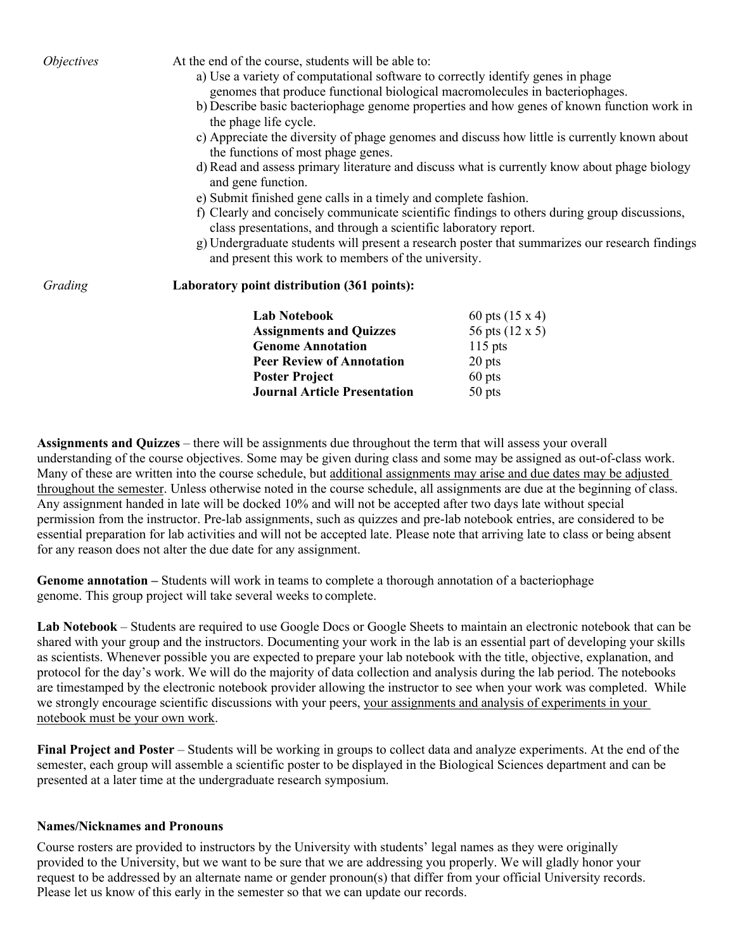| <i>Objectives</i> | At the end of the course, students will be able to:<br>a) Use a variety of computational software to correctly identify genes in phage                                                                                              |                                                                                                |  |  |
|-------------------|-------------------------------------------------------------------------------------------------------------------------------------------------------------------------------------------------------------------------------------|------------------------------------------------------------------------------------------------|--|--|
|                   | genomes that produce functional biological macromolecules in bacteriophages.                                                                                                                                                        |                                                                                                |  |  |
|                   | the phage life cycle.                                                                                                                                                                                                               | b) Describe basic bacteriophage genome properties and how genes of known function work in      |  |  |
|                   | the functions of most phage genes.                                                                                                                                                                                                  | c) Appreciate the diversity of phage genomes and discuss how little is currently known about   |  |  |
|                   | d) Read and assess primary literature and discuss what is currently know about phage biology<br>and gene function.                                                                                                                  |                                                                                                |  |  |
|                   | e) Submit finished gene calls in a timely and complete fashion.<br>f) Clearly and concisely communicate scientific findings to others during group discussions,<br>class presentations, and through a scientific laboratory report. |                                                                                                |  |  |
|                   |                                                                                                                                                                                                                                     |                                                                                                |  |  |
|                   |                                                                                                                                                                                                                                     |                                                                                                |  |  |
|                   | and present this work to members of the university.                                                                                                                                                                                 | g) Undergraduate students will present a research poster that summarizes our research findings |  |  |
| Grading           | Laboratory point distribution (361 points):                                                                                                                                                                                         |                                                                                                |  |  |
|                   | <b>Lab Notebook</b>                                                                                                                                                                                                                 | 60 pts $(15 \times 4)$                                                                         |  |  |
|                   | <b>Assignments and Quizzes</b>                                                                                                                                                                                                      | 56 pts (12 x 5)                                                                                |  |  |
|                   | <b>Genome Annotation</b>                                                                                                                                                                                                            | $115$ pts                                                                                      |  |  |
|                   | <b>Peer Review of Annotation</b>                                                                                                                                                                                                    | 20 pts                                                                                         |  |  |
|                   | <b>Poster Project</b>                                                                                                                                                                                                               | $60$ pts                                                                                       |  |  |
|                   | <b>Journal Article Presentation</b>                                                                                                                                                                                                 | $50$ pts                                                                                       |  |  |

**Assignments and Quizzes** – there will be assignments due throughout the term that will assess your overall understanding of the course objectives. Some may be given during class and some may be assigned as out-of-class work. Many of these are written into the course schedule, but additional assignments may arise and due dates may be adjusted throughout the semester. Unless otherwise noted in the course schedule, all assignments are due at the beginning of class. Any assignment handed in late will be docked 10% and will not be accepted after two days late without special permission from the instructor. Pre-lab assignments, such as quizzes and pre-lab notebook entries, are considered to be essential preparation for lab activities and will not be accepted late. Please note that arriving late to class or being absent for any reason does not alter the due date for any assignment.

**Genome annotation –** Students will work in teams to complete a thorough annotation of a bacteriophage genome. This group project will take several weeks to complete.

**Lab Notebook** – Students are required to use Google Docs or Google Sheets to maintain an electronic notebook that can be shared with your group and the instructors. Documenting your work in the lab is an essential part of developing your skills as scientists. Whenever possible you are expected to prepare your lab notebook with the title, objective, explanation, and protocol for the day's work. We will do the majority of data collection and analysis during the lab period. The notebooks are timestamped by the electronic notebook provider allowing the instructor to see when your work was completed. While we strongly encourage scientific discussions with your peers, your assignments and analysis of experiments in your notebook must be your own work.

**Final Project and Poster** – Students will be working in groups to collect data and analyze experiments. At the end of the semester, each group will assemble a scientific poster to be displayed in the Biological Sciences department and can be presented at a later time at the undergraduate research symposium.

# **Names/Nicknames and Pronouns**

Course rosters are provided to instructors by the University with students' legal names as they were originally provided to the University, but we want to be sure that we are addressing you properly. We will gladly honor your request to be addressed by an alternate name or gender pronoun(s) that differ from your official University records. Please let us know of this early in the semester so that we can update our records.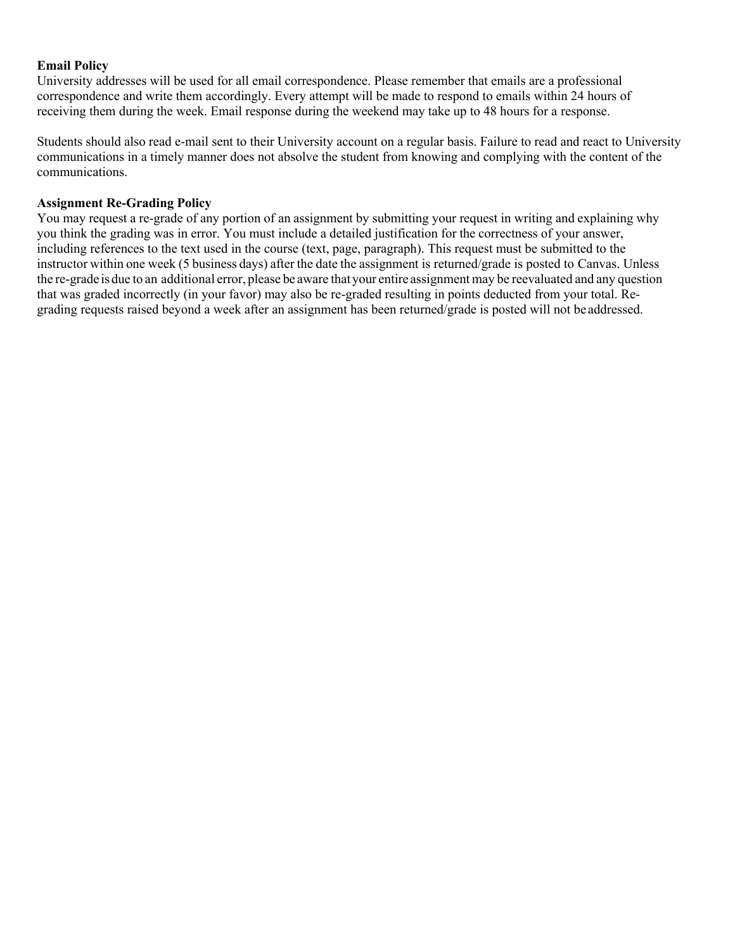# **Email Policy**

University addresses will be used for all email correspondence. Please remember that emails are a professional correspondence and write them accordingly. Every attempt will be made to respond to emails within 24 hours of receiving them during the week. Email response during the weekend may take up to 48 hours for a response.

Students should also read e-mail sent to their University account on a regular basis. Failure to read and react to University communications in a timely manner does not absolve the student from knowing and complying with the content of the communications.

#### **Assignment Re-Grading Policy**

You may request a re-grade of any portion of an assignment by submitting your request in writing and explaining why you think the grading was in error. You must include a detailed justification for the correctness of your answer, including references to the text used in the course (text, page, paragraph). This request must be submitted to the instructor within one week (5 business days) after the date the assignment is returned/grade is posted to Canvas. Unless the re-grade isdue to an additional error, please be aware that your entire assignment may be reevaluated and any question that was graded incorrectly (in your favor) may also be re-graded resulting in points deducted from your total. Regrading requests raised beyond a week after an assignment has been returned/grade is posted will not be addressed.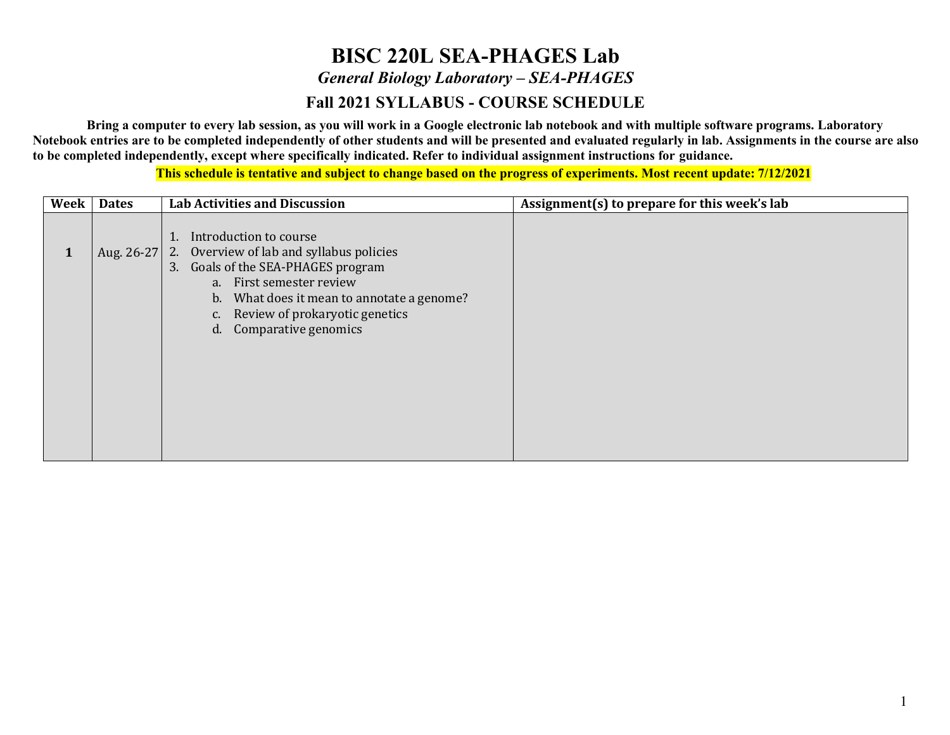# **BISC 220L SEA-PHAGES Lab** *General Biology Laboratory – SEA-PHAGES* **Fall 2021 SYLLABUS - COURSE SCHEDULE**

**Bring a computer to every lab session, as you will work in a Google electronic lab notebook and with multiple software programs. Laboratory Notebook entries are to be completed independently of other students and will be presented and evaluated regularly in lab. Assignments in the course are also to be completed independently, except where specifically indicated. Refer to individual assignment instructions for guidance.**

**This schedule is tentative and subject to change based on the progress of experiments. Most recent update: 7/12/2021**

| Week | <b>Dates</b> | <b>Lab Activities and Discussion</b>                                                                                                                                                                                                                           | Assignment(s) to prepare for this week's lab |
|------|--------------|----------------------------------------------------------------------------------------------------------------------------------------------------------------------------------------------------------------------------------------------------------------|----------------------------------------------|
| 1    | Aug. 26-27   | Introduction to course<br>T.<br>2. Overview of lab and syllabus policies<br>3. Goals of the SEA-PHAGES program<br>a. First semester review<br>What does it mean to annotate a genome?<br>b.<br>Review of prokaryotic genetics<br>c.<br>d. Comparative genomics |                                              |
|      |              |                                                                                                                                                                                                                                                                |                                              |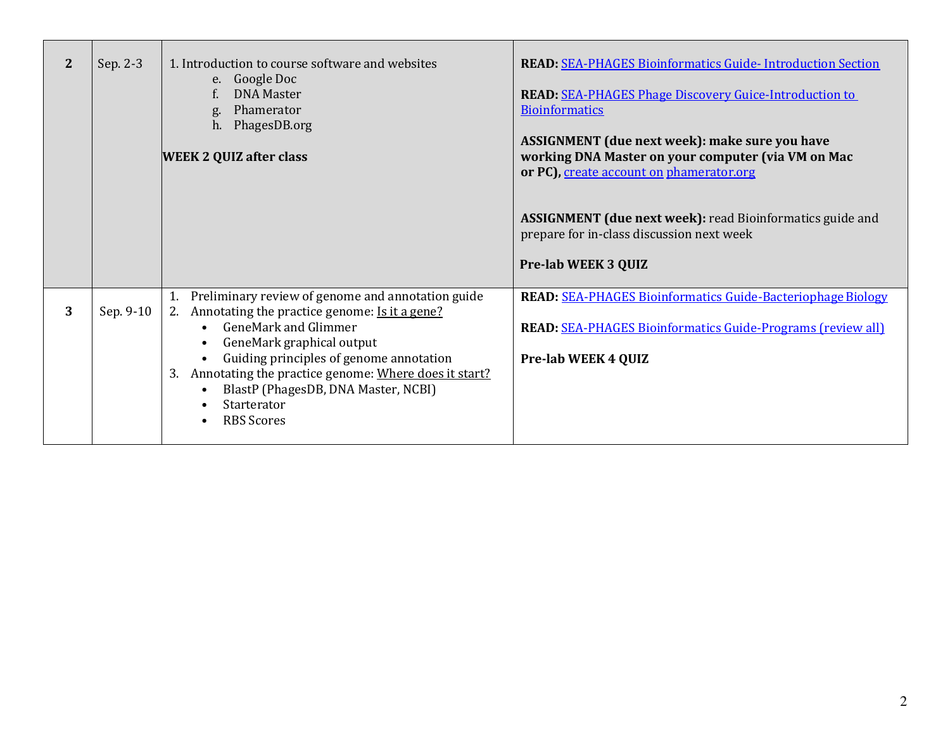| 2 | Sep. 2-3  | 1. Introduction to course software and websites<br>e. Google Doc<br><b>DNA Master</b><br>Phamerator<br>g.<br>h. PhagesDB.org<br><b>WEEK 2 QUIZ after class</b>                                                                                                                                                                                                                                         | <b>READ: SEA-PHAGES Bioinformatics Guide-Introduction Section</b><br><b>READ:</b> SEA-PHAGES Phage Discovery Guice-Introduction to<br><b>Bioinformatics</b><br><b>ASSIGNMENT</b> (due next week): make sure you have<br>working DNA Master on your computer (via VM on Mac<br>or PC), create account on phamerator.org<br><b>ASSIGNMENT (due next week):</b> read Bioinformatics guide and<br>prepare for in-class discussion next week<br><b>Pre-lab WEEK 3 QUIZ</b> |
|---|-----------|--------------------------------------------------------------------------------------------------------------------------------------------------------------------------------------------------------------------------------------------------------------------------------------------------------------------------------------------------------------------------------------------------------|-----------------------------------------------------------------------------------------------------------------------------------------------------------------------------------------------------------------------------------------------------------------------------------------------------------------------------------------------------------------------------------------------------------------------------------------------------------------------|
| 3 | Sep. 9-10 | Preliminary review of genome and annotation guide<br>2. Annotating the practice genome: Is it a gene?<br><b>GeneMark and Glimmer</b><br>GeneMark graphical output<br>$\bullet$<br>Guiding principles of genome annotation<br>$\bullet$<br>3. Annotating the practice genome: Where does it start?<br>BlastP (PhagesDB, DNA Master, NCBI)<br>$\bullet$<br>Starterator<br><b>RBS Scores</b><br>$\bullet$ | <b>READ: SEA-PHAGES Bioinformatics Guide-Bacteriophage Biology</b><br><b>READ: SEA-PHAGES Bioinformatics Guide-Programs (review all)</b><br><b>Pre-lab WEEK 4 QUIZ</b>                                                                                                                                                                                                                                                                                                |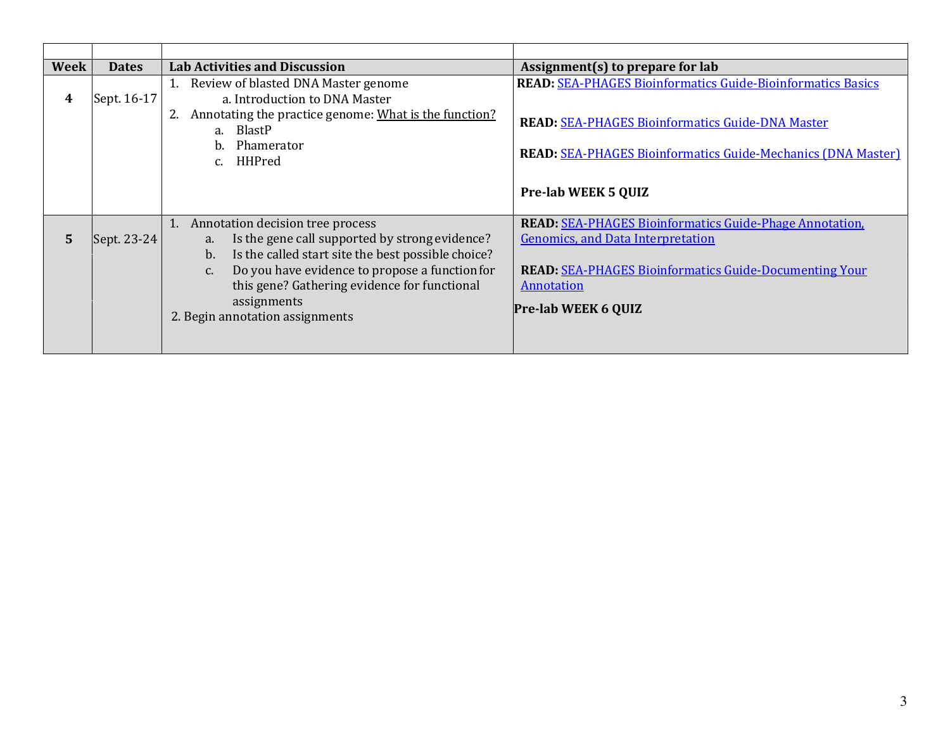| <b>Week</b> | <b>Dates</b> | <b>Lab Activities and Discussion</b>                                                                                                                                                                                                                                                                                 | Assignment(s) to prepare for lab                                                                                                                                                                                               |
|-------------|--------------|----------------------------------------------------------------------------------------------------------------------------------------------------------------------------------------------------------------------------------------------------------------------------------------------------------------------|--------------------------------------------------------------------------------------------------------------------------------------------------------------------------------------------------------------------------------|
| 4           | Sept. 16-17  | Review of blasted DNA Master genome<br>a. Introduction to DNA Master<br>2. Annotating the practice genome: What is the function?<br>a. BlastP<br>Phamerator<br>h.<br>HHPred<br>$C_{\cdot}$                                                                                                                           | <b>READ: SEA-PHAGES Bioinformatics Guide-Bioinformatics Basics</b><br><b>READ: SEA-PHAGES Bioinformatics Guide-DNA Master</b><br><b>READ: SEA-PHAGES Bioinformatics Guide-Mechanics (DNA Master)</b>                           |
|             |              |                                                                                                                                                                                                                                                                                                                      | <b>Pre-lab WEEK 5 QUIZ</b>                                                                                                                                                                                                     |
| 5           | Sept. 23-24  | Annotation decision tree process<br>1.<br>Is the gene call supported by strong evidence?<br>a.<br>Is the called start site the best possible choice?<br>b.<br>Do you have evidence to propose a function for<br>c.<br>this gene? Gathering evidence for functional<br>assignments<br>2. Begin annotation assignments | <b>READ: SEA-PHAGES Bioinformatics Guide-Phage Annotation.</b><br><b>Genomics, and Data Interpretation</b><br><b>READ: SEA-PHAGES Bioinformatics Guide-Documenting Your</b><br><b>Annotation</b><br><b>Pre-lab WEEK 6 QUIZ</b> |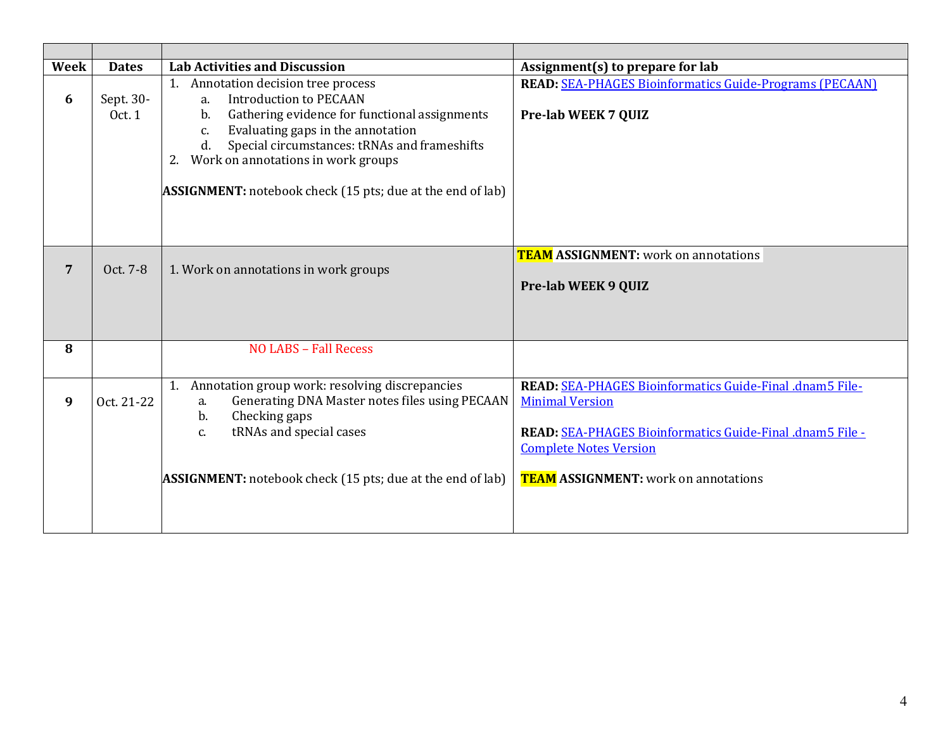| Week           | <b>Dates</b>        | <b>Lab Activities and Discussion</b>                                                                                                                                                                                                                                                                                                          | Assignment(s) to prepare for lab                                                                                                                                                                                                |
|----------------|---------------------|-----------------------------------------------------------------------------------------------------------------------------------------------------------------------------------------------------------------------------------------------------------------------------------------------------------------------------------------------|---------------------------------------------------------------------------------------------------------------------------------------------------------------------------------------------------------------------------------|
| 6              | Sept. 30-<br>Oct. 1 | 1. Annotation decision tree process<br><b>Introduction to PECAAN</b><br>a.<br>Gathering evidence for functional assignments<br>b.<br>Evaluating gaps in the annotation<br>c.<br>Special circumstances: tRNAs and frameshifts<br>d.<br>Work on annotations in work groups<br><b>ASSIGNMENT:</b> notebook check (15 pts; due at the end of lab) | <b>READ: SEA-PHAGES Bioinformatics Guide-Programs (PECAAN)</b><br><b>Pre-lab WEEK 7 QUIZ</b>                                                                                                                                    |
| $\overline{7}$ | Oct. 7-8            | 1. Work on annotations in work groups                                                                                                                                                                                                                                                                                                         | <b>TEAM ASSIGNMENT:</b> work on annotations<br><b>Pre-lab WEEK 9 QUIZ</b>                                                                                                                                                       |
| 8              |                     | <b>NO LABS - Fall Recess</b>                                                                                                                                                                                                                                                                                                                  |                                                                                                                                                                                                                                 |
| 9              | Oct. 21-22          | 1. Annotation group work: resolving discrepancies<br>Generating DNA Master notes files using PECAAN<br>a.<br>Checking gaps<br>b.<br>tRNAs and special cases<br>C.<br><b>ASSIGNMENT:</b> notebook check (15 pts; due at the end of lab)                                                                                                        | READ: SEA-PHAGES Bioinformatics Guide-Final .dnam5 File-<br><b>Minimal Version</b><br>READ: SEA-PHAGES Bioinformatics Guide-Final .dnam5 File -<br><b>Complete Notes Version</b><br><b>TEAM ASSIGNMENT:</b> work on annotations |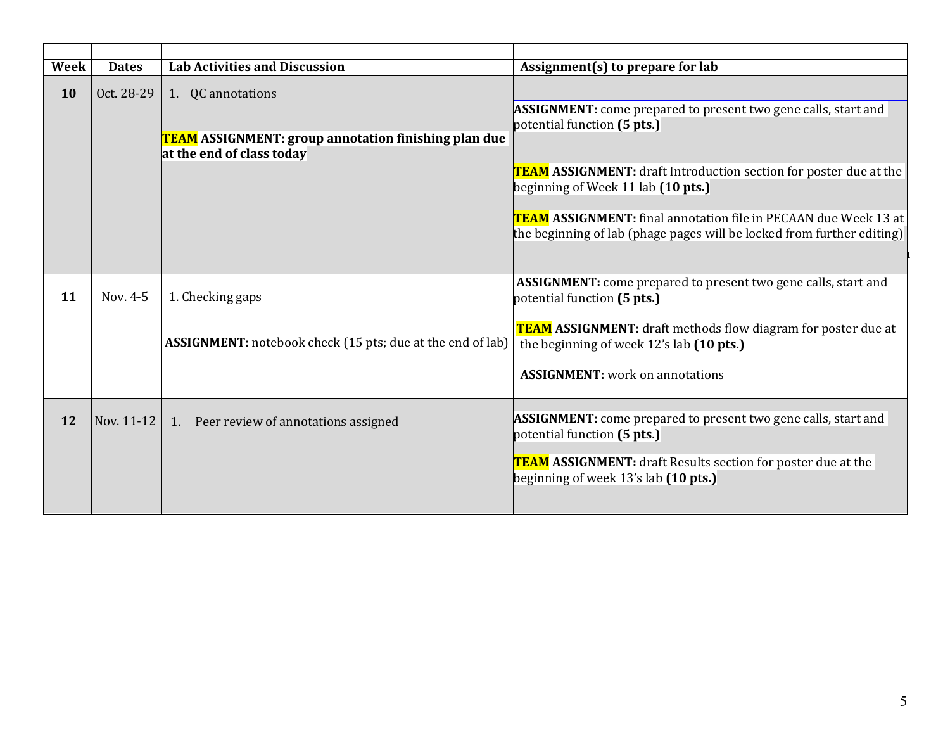| Assignment(s) to prepare for lab                                         |  |
|--------------------------------------------------------------------------|--|
|                                                                          |  |
| <b>ASSIGNMENT:</b> come prepared to present two gene calls, start and    |  |
|                                                                          |  |
|                                                                          |  |
| <b>TEAM ASSIGNMENT:</b> draft Introduction section for poster due at the |  |
|                                                                          |  |
|                                                                          |  |
| TEAM ASSIGNMENT: final annotation file in PECAAN due Week 13 at          |  |
| the beginning of lab (phage pages will be locked from further editing)   |  |
|                                                                          |  |
| <b>ASSIGNMENT:</b> come prepared to present two gene calls, start and    |  |
|                                                                          |  |
|                                                                          |  |
| <b>TEAM ASSIGNMENT:</b> draft methods flow diagram for poster due at     |  |
|                                                                          |  |
|                                                                          |  |
|                                                                          |  |
|                                                                          |  |
| <b>ASSIGNMENT:</b> come prepared to present two gene calls, start and    |  |
|                                                                          |  |
| TEAM ASSIGNMENT: draft Results section for poster due at the             |  |
|                                                                          |  |
|                                                                          |  |
|                                                                          |  |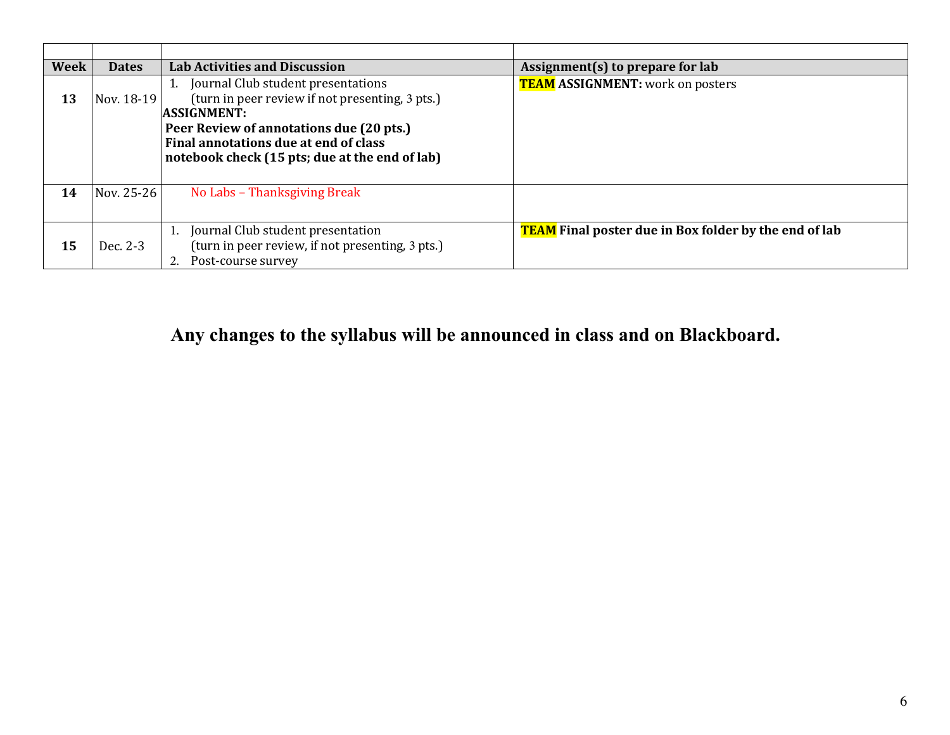| Week | <b>Dates</b> | <b>Lab Activities and Discussion</b>                                                                                                                                                                                                               | Assignment(s) to prepare for lab                             |
|------|--------------|----------------------------------------------------------------------------------------------------------------------------------------------------------------------------------------------------------------------------------------------------|--------------------------------------------------------------|
| 13   | Nov. 18-19   | Journal Club student presentations<br>(turn in peer review if not presenting, 3 pts.)<br><b>ASSIGNMENT:</b><br>Peer Review of annotations due (20 pts.)<br>Final annotations due at end of class<br>notebook check (15 pts; due at the end of lab) | <b>TEAM ASSIGNMENT:</b> work on posters                      |
| 14   | Nov. 25-26   | No Labs - Thanksgiving Break                                                                                                                                                                                                                       |                                                              |
| 15   | Dec. 2-3     | Journal Club student presentation<br>(turn in peer review, if not presenting, 3 pts.)<br>Post-course survey                                                                                                                                        | <b>TEAM</b> Final poster due in Box folder by the end of lab |

**Any changes to the syllabus will be announced in class and on Blackboard.**